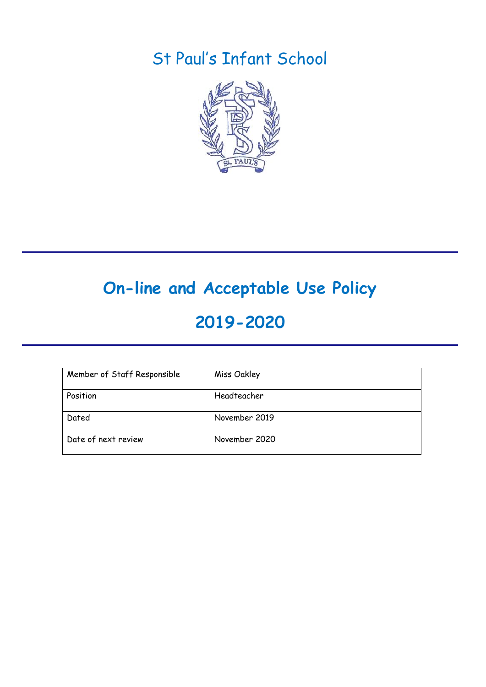# St Paul's Infant School



# **On-line and Acceptable Use Policy**

# **2019-2020**

| Member of Staff Responsible | Miss Oakley   |
|-----------------------------|---------------|
| Position                    | Headteacher   |
| Dated                       | November 2019 |
| Date of next review         | November 2020 |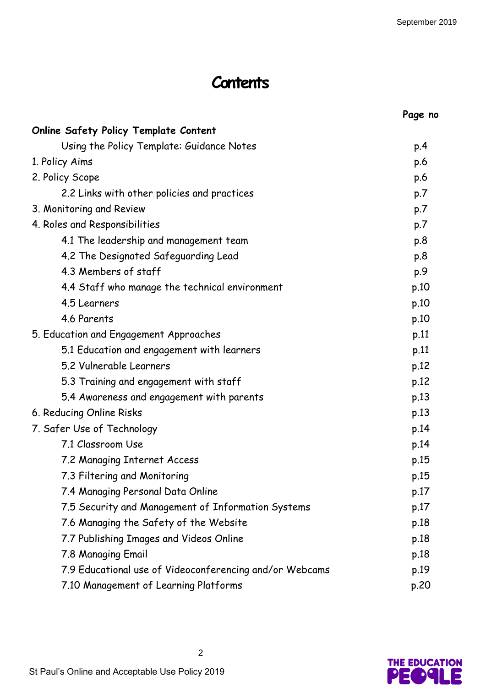# **Contents**

|                                                         | Page no |
|---------------------------------------------------------|---------|
| <b>Online Safety Policy Template Content</b>            |         |
| Using the Policy Template: Guidance Notes               | p.4     |
| 1. Policy Aims                                          | p.6     |
| 2. Policy Scope                                         | p.6     |
| 2.2 Links with other policies and practices             | p.7     |
| 3. Monitoring and Review                                | p.7     |
| 4. Roles and Responsibilities                           | p.7     |
| 4.1 The leadership and management team                  | p.8     |
| 4.2 The Designated Safeguarding Lead                    | p.8     |
| 4.3 Members of staff                                    | p.9     |
| 4.4 Staff who manage the technical environment          | p.10    |
| 4.5 Learners                                            | p.10    |
| 4.6 Parents                                             | p.10    |
| 5. Education and Engagement Approaches                  | p.11    |
| 5.1 Education and engagement with learners              | p.11    |
| 5.2 Vulnerable Learners                                 | p.12    |
| 5.3 Training and engagement with staff                  | p.12    |
| 5.4 Awareness and engagement with parents               | p.13    |
| 6. Reducing Online Risks                                | p.13    |
| 7. Safer Use of Technology                              | p.14    |
| 7.1 Classroom Use                                       | p.14    |
| 7.2 Managing Internet Access                            | p.15    |
| 7.3 Filtering and Monitoring                            | p.15    |
| 7.4 Managing Personal Data Online                       | p.17    |
| 7.5 Security and Management of Information Systems      | p.17    |
| 7.6 Managing the Safety of the Website                  | p.18    |
| 7.7 Publishing Images and Videos Online                 | p.18    |
| 7.8 Managing Email                                      | p.18    |
| 7.9 Educational use of Videoconferencing and/or Webcams | p.19    |
| 7.10 Management of Learning Platforms                   | p.20    |

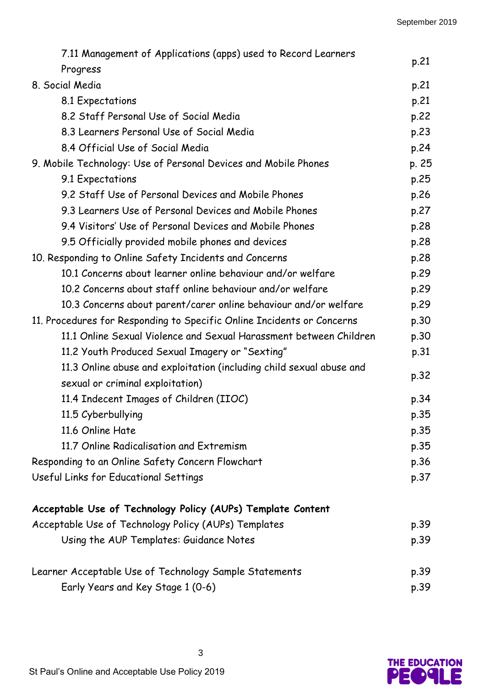| 7.11 Management of Applications (apps) used to Record Learners<br>Progress                               | p.21         |  |
|----------------------------------------------------------------------------------------------------------|--------------|--|
| 8. Social Media                                                                                          | p.21         |  |
| 8.1 Expectations                                                                                         | p.21         |  |
| 8.2 Staff Personal Use of Social Media                                                                   |              |  |
| 8.3 Learners Personal Use of Social Media                                                                |              |  |
| 8.4 Official Use of Social Media                                                                         | p.23<br>p.24 |  |
| 9. Mobile Technology: Use of Personal Devices and Mobile Phones                                          | p. 25        |  |
| 9.1 Expectations                                                                                         | p.25         |  |
| 9.2 Staff Use of Personal Devices and Mobile Phones                                                      | p.26         |  |
| 9.3 Learners Use of Personal Devices and Mobile Phones                                                   | p.27         |  |
| 9.4 Visitors' Use of Personal Devices and Mobile Phones                                                  | p.28         |  |
| 9.5 Officially provided mobile phones and devices                                                        | p.28         |  |
| 10. Responding to Online Safety Incidents and Concerns                                                   | p.28         |  |
| 10.1 Concerns about learner online behaviour and/or welfare                                              |              |  |
| 10.2 Concerns about staff online behaviour and/or welfare                                                |              |  |
| 10.3 Concerns about parent/carer online behaviour and/or welfare                                         | p.29         |  |
| 11. Procedures for Responding to Specific Online Incidents or Concerns                                   | p.30         |  |
| 11.1 Online Sexual Violence and Sexual Harassment between Children                                       | p.30         |  |
| 11.2 Youth Produced Sexual Imagery or "Sexting"                                                          | p.31         |  |
| 11.3 Online abuse and exploitation (including child sexual abuse and<br>sexual or criminal exploitation) | p.32         |  |
| 11.4 Indecent Images of Children (IIOC)                                                                  | p.34         |  |
| 11.5 Cyberbullying                                                                                       | p.35         |  |
| 11.6 Online Hate                                                                                         | p.35         |  |
| 11.7 Online Radicalisation and Extremism                                                                 | p.35         |  |
| Responding to an Online Safety Concern Flowchart                                                         | p.36         |  |
| Useful Links for Educational Settings                                                                    | p.37         |  |
| Acceptable Use of Technology Policy (AUPs) Template Content                                              |              |  |
| Acceptable Use of Technology Policy (AUPs) Templates                                                     |              |  |
| Using the AUP Templates: Guidance Notes                                                                  | p.39         |  |
| Learner Acceptable Use of Technology Sample Statements                                                   | p.39         |  |
| Early Years and Key Stage 1 (0-6)                                                                        | p.39         |  |

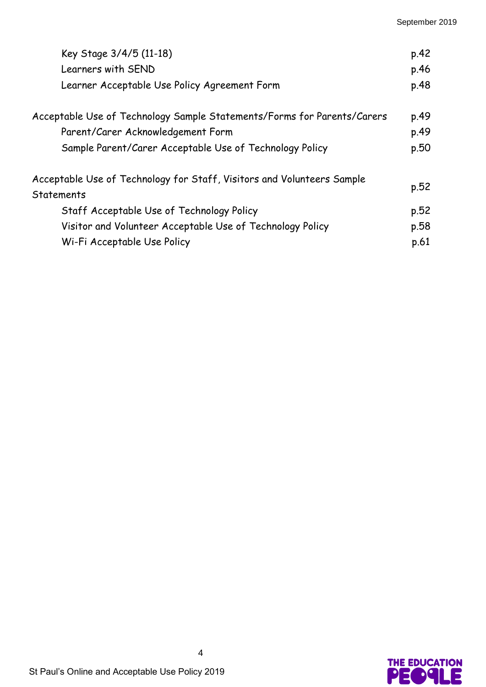| Key Stage 3/4/5 (11-18)<br>Learners with SEND<br>Learner Acceptable Use Policy Agreement Form | p.42<br>p.46<br>p.48 |
|-----------------------------------------------------------------------------------------------|----------------------|
| Acceptable Use of Technology Sample Statements/Forms for Parents/Carers                       | p.49                 |
| Parent/Carer Acknowledgement Form                                                             | p.49                 |
| Sample Parent/Carer Acceptable Use of Technology Policy                                       | p.50                 |
| Acceptable Use of Technology for Staff, Visitors and Volunteers Sample<br><b>Statements</b>   |                      |
| Staff Acceptable Use of Technology Policy                                                     | p.52                 |
| Visitor and Volunteer Acceptable Use of Technology Policy                                     | p.58                 |
| Wi-Fi Acceptable Use Policy                                                                   | p.61                 |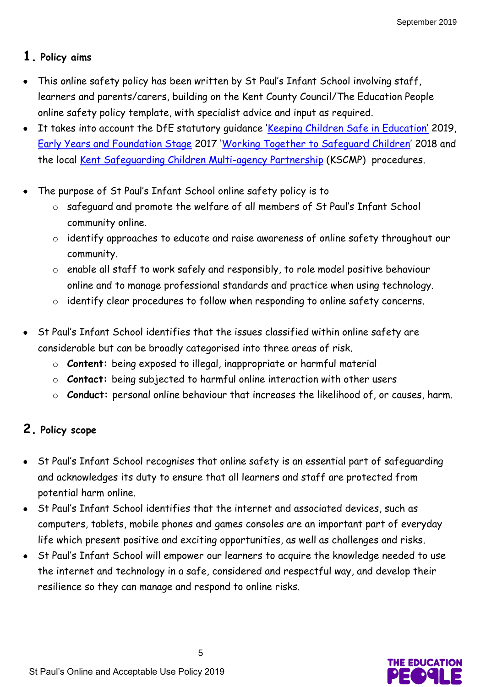# **1. Policy aims**

- This online safety policy has been written by St Paul's Infant School involving staff, learners and parents/carers, building on the Kent County Council/The Education People online safety policy template, with specialist advice and input as required.
- It takes into account the DfE statutory guidance '[Keeping Children Safe in Education](https://www.gov.uk/government/publications/keeping-children-safe-in-education--2)' 2019, [Early Years and Foundation Stage](https://www.gov.uk/government/publications/early-years-foundation-stage-framework--2) 2017 '[Working Together to Safeguard Children](https://www.gov.uk/government/publications/working-together-to-safeguard-children--2)' 2018 and the local [Kent Safeguarding Children Multi-agency Partnership](https://www.kscb.org.uk/) (KSCMP) procedures.
- The purpose of St Paul's Infant School online safety policy is to
	- o safeguard and promote the welfare of all members of St Paul's Infant School community online.
	- o identify approaches to educate and raise awareness of online safety throughout our community.
	- o enable all staff to work safely and responsibly, to role model positive behaviour online and to manage professional standards and practice when using technology.
	- o identify clear procedures to follow when responding to online safety concerns.
- St Paul's Infant School identifies that the issues classified within online safety are considerable but can be broadly categorised into three areas of risk.
	- o **Content:** being exposed to illegal, inappropriate or harmful material
	- o **Contact:** being subjected to harmful online interaction with other users
	- o **Conduct:** personal online behaviour that increases the likelihood of, or causes, harm.

# **2. Policy scope**

- St Paul's Infant School recognises that online safety is an essential part of safeguarding and acknowledges its duty to ensure that all learners and staff are protected from potential harm online.
- St Paul's Infant School identifies that the internet and associated devices, such as computers, tablets, mobile phones and games consoles are an important part of everyday life which present positive and exciting opportunities, as well as challenges and risks.
- St Paul's Infant School will empower our learners to acquire the knowledge needed to use the internet and technology in a safe, considered and respectful way, and develop their resilience so they can manage and respond to online risks.

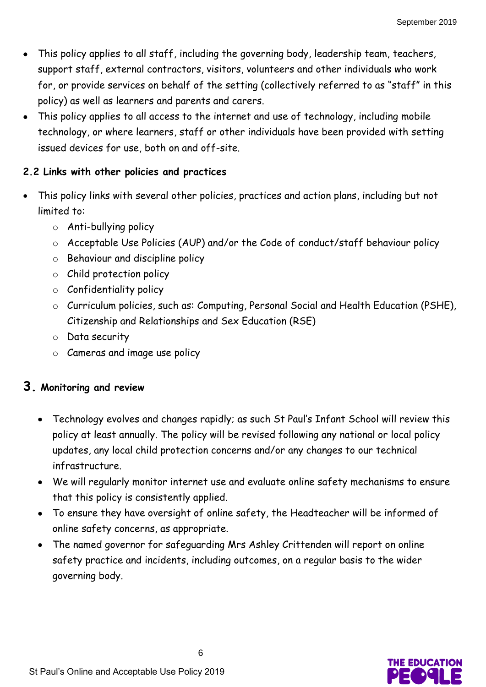- This policy applies to all staff, including the governing body, leadership team, teachers, support staff, external contractors, visitors, volunteers and other individuals who work for, or provide services on behalf of the setting (collectively referred to as "staff" in this policy) as well as learners and parents and carers.
- This policy applies to all access to the internet and use of technology, including mobile technology, or where learners, staff or other individuals have been provided with setting issued devices for use, both on and off-site.

# **2.2 Links with other policies and practices**

- This policy links with several other policies, practices and action plans, including but not limited to:
	- o Anti-bullying policy
	- o Acceptable Use Policies (AUP) and/or the Code of conduct/staff behaviour policy
	- o Behaviour and discipline policy
	- o Child protection policy
	- o Confidentiality policy
	- o Curriculum policies, such as: Computing, Personal Social and Health Education (PSHE), Citizenship and Relationships and Sex Education (RSE)
	- o Data security
	- o Cameras and image use policy

# **3. Monitoring and review**

- Technology evolves and changes rapidly; as such St Paul's Infant School will review this policy at least annually. The policy will be revised following any national or local policy updates, any local child protection concerns and/or any changes to our technical infrastructure.
- We will regularly monitor internet use and evaluate online safety mechanisms to ensure that this policy is consistently applied.
- To ensure they have oversight of online safety, the Headteacher will be informed of online safety concerns, as appropriate.
- The named governor for safeguarding Mrs Ashley Crittenden will report on online safety practice and incidents, including outcomes, on a regular basis to the wider governing body.

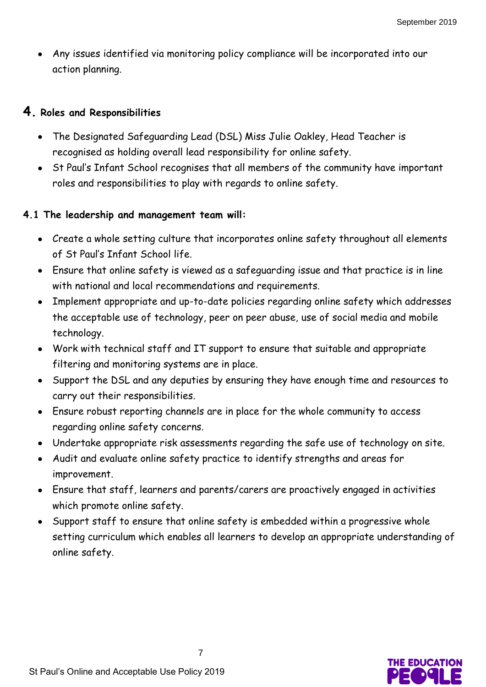Any issues identified via monitoring policy compliance will be incorporated into our action planning.

## **4. Roles and Responsibilities**

- The Designated Safeguarding Lead (DSL) Miss Julie Oakley, Head Teacher is recognised as holding overall lead responsibility for online safety.
- St Paul's Infant School recognises that all members of the community have important roles and responsibilities to play with regards to online safety.

## **4.1 The leadership and management team will:**

- Create a whole setting culture that incorporates online safety throughout all elements of St Paul's Infant School life.
- Ensure that online safety is viewed as a safeguarding issue and that practice is in line with national and local recommendations and requirements.
- Implement appropriate and up-to-date policies regarding online safety which addresses the acceptable use of technology, peer on peer abuse, use of social media and mobile technology.
- Work with technical staff and IT support to ensure that suitable and appropriate filtering and monitoring systems are in place.
- Support the DSL and any deputies by ensuring they have enough time and resources to carry out their responsibilities.
- Ensure robust reporting channels are in place for the whole community to access regarding online safety concerns.
- Undertake appropriate risk assessments regarding the safe use of technology on site.
- Audit and evaluate online safety practice to identify strengths and areas for improvement.
- Ensure that staff, learners and parents/carers are proactively engaged in activities which promote online safety.
- Support staff to ensure that online safety is embedded within a progressive whole setting curriculum which enables all learners to develop an appropriate understanding of online safety.

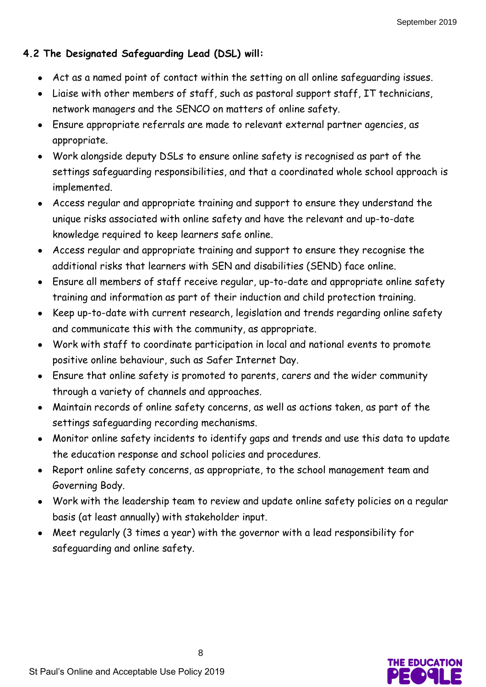# **4.2 The Designated Safeguarding Lead (DSL) will:**

- Act as a named point of contact within the setting on all online safeguarding issues.
- Liaise with other members of staff, such as pastoral support staff, IT technicians, network managers and the SENCO on matters of online safety.
- Ensure appropriate referrals are made to relevant external partner agencies, as appropriate.
- Work alongside deputy DSLs to ensure online safety is recognised as part of the settings safeguarding responsibilities, and that a coordinated whole school approach is implemented.
- Access regular and appropriate training and support to ensure they understand the unique risks associated with online safety and have the relevant and up-to-date knowledge required to keep learners safe online.
- Access regular and appropriate training and support to ensure they recognise the additional risks that learners with SEN and disabilities (SEND) face online.
- Ensure all members of staff receive regular, up-to-date and appropriate online safety training and information as part of their induction and child protection training.
- Keep up-to-date with current research, legislation and trends regarding online safety and communicate this with the community, as appropriate.
- Work with staff to coordinate participation in local and national events to promote positive online behaviour, such as Safer Internet Day.
- Ensure that online safety is promoted to parents, carers and the wider community through a variety of channels and approaches.
- Maintain records of online safety concerns, as well as actions taken, as part of the settings safeguarding recording mechanisms.
- Monitor online safety incidents to identify gaps and trends and use this data to update the education response and school policies and procedures.
- Report online safety concerns, as appropriate, to the school management team and Governing Body.
- Work with the leadership team to review and update online safety policies on a regular basis (at least annually) with stakeholder input.
- Meet regularly (3 times a year) with the governor with a lead responsibility for safeguarding and online safety.

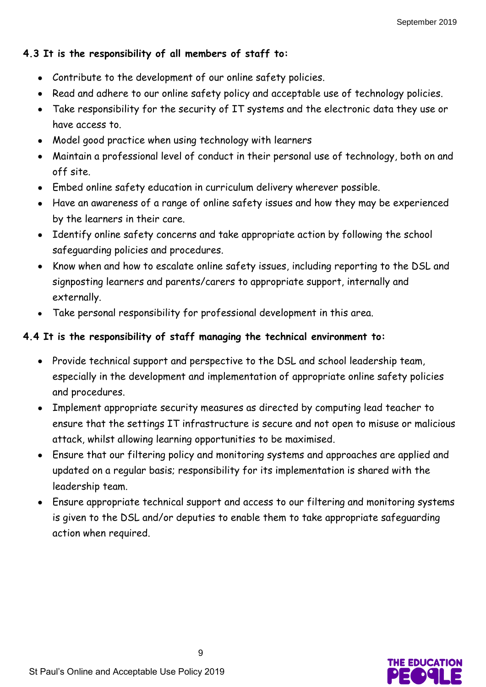# **4.3 It is the responsibility of all members of staff to:**

- Contribute to the development of our online safety policies.
- Read and adhere to our online safety policy and acceptable use of technology policies.
- Take responsibility for the security of IT systems and the electronic data they use or have access to.
- Model good practice when using technology with learners
- Maintain a professional level of conduct in their personal use of technology, both on and off site.
- Embed online safety education in curriculum delivery wherever possible.
- Have an awareness of a range of online safety issues and how they may be experienced by the learners in their care.
- Identify online safety concerns and take appropriate action by following the school safeguarding policies and procedures.
- Know when and how to escalate online safety issues, including reporting to the DSL and signposting learners and parents/carers to appropriate support, internally and externally.
- Take personal responsibility for professional development in this area.

## **4.4 It is the responsibility of staff managing the technical environment to:**

- Provide technical support and perspective to the DSL and school leadership team, especially in the development and implementation of appropriate online safety policies and procedures.
- Implement appropriate security measures as directed by computing lead teacher to ensure that the settings IT infrastructure is secure and not open to misuse or malicious attack, whilst allowing learning opportunities to be maximised.
- Ensure that our filtering policy and monitoring systems and approaches are applied and updated on a regular basis; responsibility for its implementation is shared with the leadership team.
- Ensure appropriate technical support and access to our filtering and monitoring systems is given to the DSL and/or deputies to enable them to take appropriate safeguarding action when required.

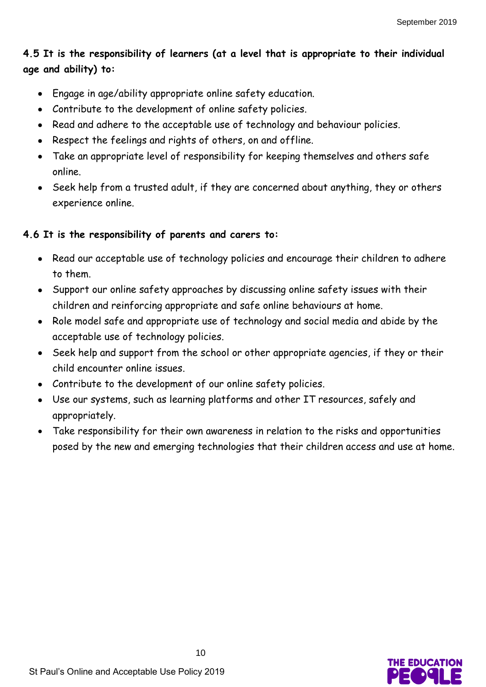# **4.5 It is the responsibility of learners (at a level that is appropriate to their individual age and ability) to:**

- Engage in age/ability appropriate online safety education.
- Contribute to the development of online safety policies.
- Read and adhere to the acceptable use of technology and behaviour policies.
- Respect the feelings and rights of others, on and offline.
- Take an appropriate level of responsibility for keeping themselves and others safe online.
- Seek help from a trusted adult, if they are concerned about anything, they or others experience online.

# **4.6 It is the responsibility of parents and carers to:**

- Read our acceptable use of technology policies and encourage their children to adhere to them.
- Support our online safety approaches by discussing online safety issues with their children and reinforcing appropriate and safe online behaviours at home.
- Role model safe and appropriate use of technology and social media and abide by the acceptable use of technology policies.
- Seek help and support from the school or other appropriate agencies, if they or their child encounter online issues.
- Contribute to the development of our online safety policies.
- Use our systems, such as learning platforms and other IT resources, safely and appropriately.
- Take responsibility for their own awareness in relation to the risks and opportunities posed by the new and emerging technologies that their children access and use at home.

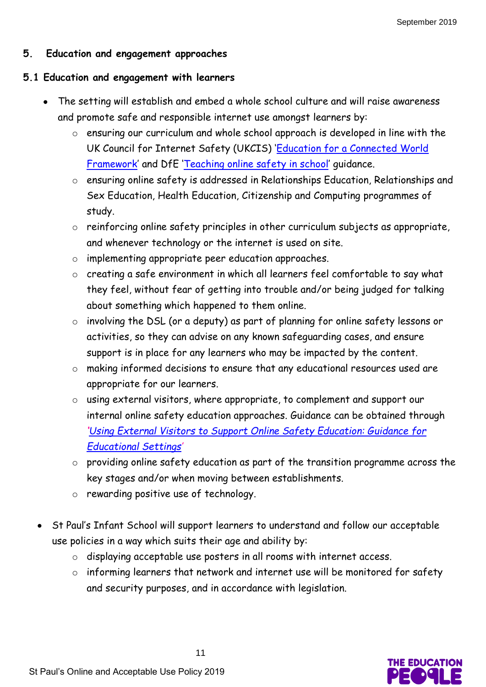## **5. Education and engagement approaches**

#### **5.1 Education and engagement with learners**

- The setting will establish and embed a whole school culture and will raise awareness and promote safe and responsible internet use amongst learners by:
	- o ensuring our curriculum and whole school approach is developed in line with the UK Council for Internet Safety (UKCIS) '[Education for a Connected World](https://www.gov.uk/government/publications/education-for-a-connected-world)  [Framework](https://www.gov.uk/government/publications/education-for-a-connected-world)' and DfE '[Teaching online safety](https://www.gov.uk/government/publications/teaching-online-safety-in-schools) in school' guidance.
	- o ensuring online safety is addressed in Relationships Education, Relationships and Sex Education, Health Education, Citizenship and Computing programmes of study.
	- o reinforcing online safety principles in other curriculum subjects as appropriate, and whenever technology or the internet is used on site.
	- o implementing appropriate peer education approaches.
	- o creating a safe environment in which all learners feel comfortable to say what they feel, without fear of getting into trouble and/or being judged for talking about something which happened to them online.
	- o involving the DSL (or a deputy) as part of planning for online safety lessons or activities, so they can advise on any known safeguarding cases, and ensure support is in place for any learners who may be impacted by the content.
	- o making informed decisions to ensure that any educational resources used are appropriate for our learners.
	- o using external visitors, where appropriate, to complement and support our internal online safety education approaches. Guidance can be obtained through *'[Using External Visitors to Support Online Safety](https://www.gov.uk/government/publications/using-external-visitors-to-support-online-safety-education-guidance-for-educational-settings) Education: Guidance for [Educational Settings](https://www.gov.uk/government/publications/using-external-visitors-to-support-online-safety-education-guidance-for-educational-settings)'*
	- o providing online safety education as part of the transition programme across the key stages and/or when moving between establishments.
	- o rewarding positive use of technology.
- St Paul's Infant School will support learners to understand and follow our acceptable use policies in a way which suits their age and ability by:
	- o displaying acceptable use posters in all rooms with internet access.
	- o informing learners that network and internet use will be monitored for safety and security purposes, and in accordance with legislation.

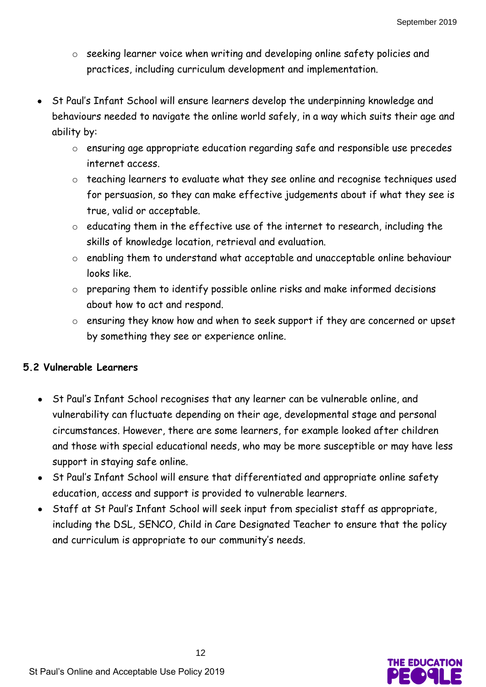- o seeking learner voice when writing and developing online safety policies and practices, including curriculum development and implementation.
- St Paul's Infant School will ensure learners develop the underpinning knowledge and behaviours needed to navigate the online world safely, in a way which suits their age and ability by:
	- o ensuring age appropriate education regarding safe and responsible use precedes internet access.
	- o teaching learners to evaluate what they see online and recognise techniques used for persuasion, so they can make effective judgements about if what they see is true, valid or acceptable.
	- o educating them in the effective use of the internet to research, including the skills of knowledge location, retrieval and evaluation.
	- o enabling them to understand what acceptable and unacceptable online behaviour looks like.
	- o preparing them to identify possible online risks and make informed decisions about how to act and respond.
	- o ensuring they know how and when to seek support if they are concerned or upset by something they see or experience online.

#### **5.2 Vulnerable Learners**

- St Paul's Infant School recognises that any learner can be vulnerable online, and vulnerability can fluctuate depending on their age, developmental stage and personal circumstances. However, there are some learners, for example looked after children and those with special educational needs, who may be more susceptible or may have less support in staying safe online.
- St Paul's Infant School will ensure that differentiated and appropriate online safety education, access and support is provided to vulnerable learners.
- Staff at St Paul's Infant School will seek input from specialist staff as appropriate, including the DSL, SENCO, Child in Care Designated Teacher to ensure that the policy and curriculum is appropriate to our community's needs.

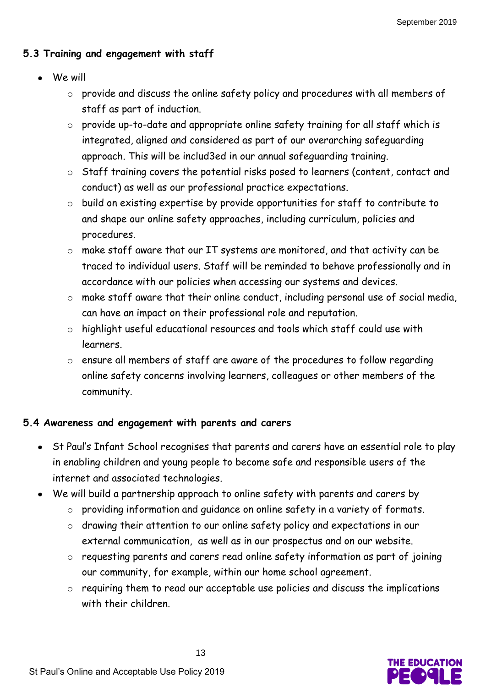# **5.3 Training and engagement with staff**

- We will
	- o provide and discuss the online safety policy and procedures with all members of staff as part of induction.
	- o provide up-to-date and appropriate online safety training for all staff which is integrated, aligned and considered as part of our overarching safeguarding approach. This will be includ3ed in our annual safeguarding training.
	- o Staff training covers the potential risks posed to learners (content, contact and conduct) as well as our professional practice expectations.
	- o build on existing expertise by provide opportunities for staff to contribute to and shape our online safety approaches, including curriculum, policies and procedures.
	- o make staff aware that our IT systems are monitored, and that activity can be traced to individual users. Staff will be reminded to behave professionally and in accordance with our policies when accessing our systems and devices.
	- o make staff aware that their online conduct, including personal use of social media, can have an impact on their professional role and reputation.
	- o highlight useful educational resources and tools which staff could use with learners.
	- o ensure all members of staff are aware of the procedures to follow regarding online safety concerns involving learners, colleagues or other members of the community.

# **5.4 Awareness and engagement with parents and carers**

- St Paul's Infant School recognises that parents and carers have an essential role to play in enabling children and young people to become safe and responsible users of the internet and associated technologies.
- We will build a partnership approach to online safety with parents and carers by
	- o providing information and guidance on online safety in a variety of formats.
	- o drawing their attention to our online safety policy and expectations in our external communication, as well as in our prospectus and on our website.
	- o requesting parents and carers read online safety information as part of joining our community, for example, within our home school agreement.
	- o requiring them to read our acceptable use policies and discuss the implications with their children.

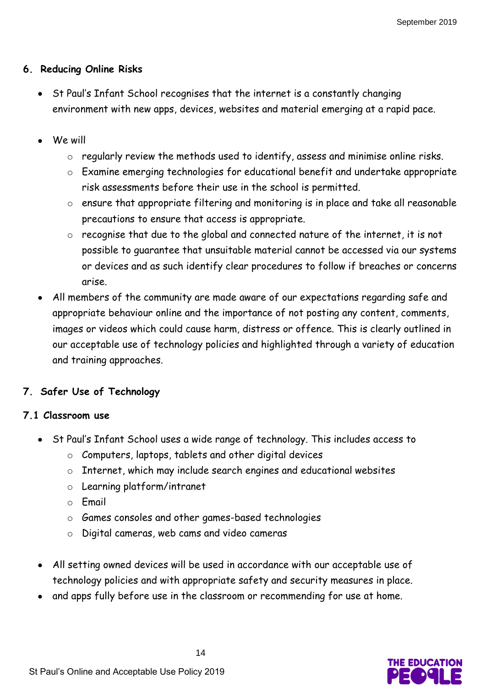#### **6. Reducing Online Risks**

- St Paul's Infant School recognises that the internet is a constantly changing environment with new apps, devices, websites and material emerging at a rapid pace.
- We will
	- o regularly review the methods used to identify, assess and minimise online risks.
	- o Examine emerging technologies for educational benefit and undertake appropriate risk assessments before their use in the school is permitted.
	- o ensure that appropriate filtering and monitoring is in place and take all reasonable precautions to ensure that access is appropriate.
	- o recognise that due to the global and connected nature of the internet, it is not possible to guarantee that unsuitable material cannot be accessed via our systems or devices and as such identify clear procedures to follow if breaches or concerns arise.
- All members of the community are made aware of our expectations regarding safe and appropriate behaviour online and the importance of not posting any content, comments, images or videos which could cause harm, distress or offence. This is clearly outlined in our acceptable use of technology policies and highlighted through a variety of education and training approaches.

#### **7. Safer Use of Technology**

#### **7.1 Classroom use**

- St Paul's Infant School uses a wide range of technology. This includes access to
	- o Computers, laptops, tablets and other digital devices
	- o Internet, which may include search engines and educational websites
	- o Learning platform/intranet
	- o Email
	- o Games consoles and other games-based technologies
	- o Digital cameras, web cams and video cameras
- All setting owned devices will be used in accordance with our acceptable use of technology policies and with appropriate safety and security measures in place.
- and apps fully before use in the classroom or recommending for use at home.

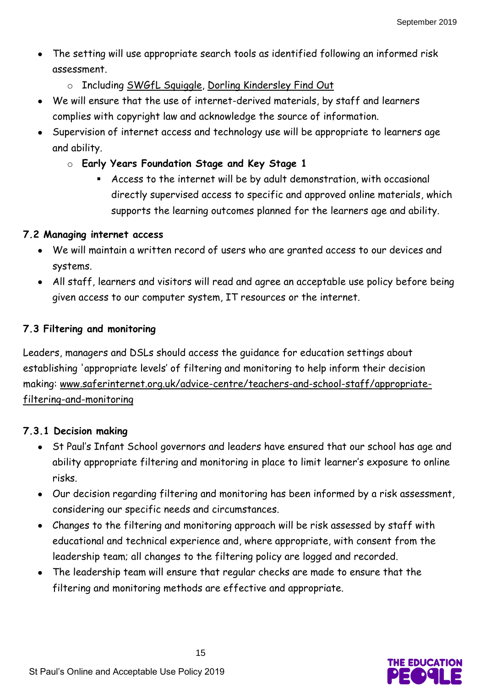- The setting will use appropriate search tools as identified following an informed risk assessment.
	- o Including [SWGfL Squiggle,](https://swiggle.org.uk/) [Dorling Kindersley Find Out](https://www.dkfindout.com/uk/)
- We will ensure that the use of internet-derived materials, by staff and learners complies with copyright law and acknowledge the source of information.
- Supervision of internet access and technology use will be appropriate to learners age and ability.
	- o **Early Years Foundation Stage and Key Stage 1**
		- Access to the internet will be by adult demonstration, with occasional directly supervised access to specific and approved online materials, which supports the learning outcomes planned for the learners age and ability.

# **7.2 Managing internet access**

- We will maintain a written record of users who are granted access to our devices and systems.
- All staff, learners and visitors will read and agree an acceptable use policy before being given access to our computer system, IT resources or the internet.

# **7.3 Filtering and monitoring**

Leaders, managers and DSLs should access the guidance for education settings about establishing 'appropriate levels' of filtering and monitoring to help inform their decision making: [www.saferinternet.org.uk/advice-centre/teachers-and-school-staff/appropriate](http://www.saferinternet.org.uk/advice-centre/teachers-and-school-staff/appropriate-filtering-and-monitoring)[filtering-and-monitoring](http://www.saferinternet.org.uk/advice-centre/teachers-and-school-staff/appropriate-filtering-and-monitoring)

# **7.3.1 Decision making**

- St Paul's Infant School governors and leaders have ensured that our school has age and ability appropriate filtering and monitoring in place to limit learner's exposure to online risks.
- Our decision regarding filtering and monitoring has been informed by a risk assessment, considering our specific needs and circumstances.
- Changes to the filtering and monitoring approach will be risk assessed by staff with educational and technical experience and, where appropriate, with consent from the leadership team; all changes to the filtering policy are logged and recorded.
- The leadership team will ensure that regular checks are made to ensure that the filtering and monitoring methods are effective and appropriate.

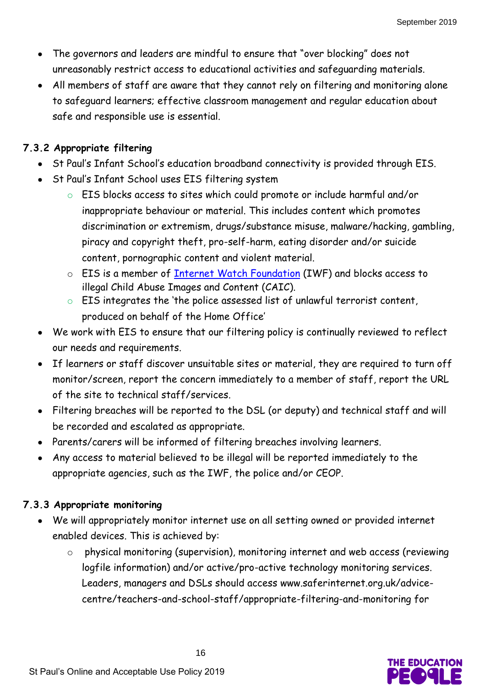- The governors and leaders are mindful to ensure that "over blocking" does not unreasonably restrict access to educational activities and safeguarding materials.
- All members of staff are aware that they cannot rely on filtering and monitoring alone to safeguard learners; effective classroom management and regular education about safe and responsible use is essential.

#### **7.3.2 Appropriate filtering**

- St Paul's Infant School's education broadband connectivity is provided through EIS.
- St Paul's Infant School uses EIS filtering system
	- o EIS blocks access to sites which could promote or include harmful and/or inappropriate behaviour or material. This includes content which promotes discrimination or extremism, drugs/substance misuse, malware/hacking, gambling, piracy and copyright theft, pro-self-harm, eating disorder and/or suicide content, pornographic content and violent material.
	- o EIS is a member of [Internet Watch Foundation](https://www.iwf.org.uk/) (IWF) and blocks access to illegal Child Abuse Images and Content (CAIC).
	- o EIS integrates the 'the police assessed list of unlawful terrorist content, produced on behalf of the Home Office'
- We work with EIS to ensure that our filtering policy is continually reviewed to reflect our needs and requirements.
- If learners or staff discover unsuitable sites or material, they are required to turn off monitor/screen, report the concern immediately to a member of staff, report the URL of the site to technical staff/services.
- Filtering breaches will be reported to the DSL (or deputy) and technical staff and will be recorded and escalated as appropriate.
- Parents/carers will be informed of filtering breaches involving learners.
- Any access to material believed to be illegal will be reported immediately to the appropriate agencies, such as the IWF, the police and/or CEOP.

#### **7.3.3 Appropriate monitoring**

- We will appropriately monitor internet use on all setting owned or provided internet enabled devices. This is achieved by:
	- o physical monitoring (supervision), monitoring internet and web access (reviewing logfile information) and/or active/pro-active technology monitoring services. Leaders, managers and DSLs should access [www.saferinternet.org.uk/advice](http://www.saferinternet.org.uk/advice-centre/teachers-and-school-staff/appropriate-filtering-and-monitoring)[centre/teachers-and-school-staff/appropriate-filtering-and-monitoring](http://www.saferinternet.org.uk/advice-centre/teachers-and-school-staff/appropriate-filtering-and-monitoring) for

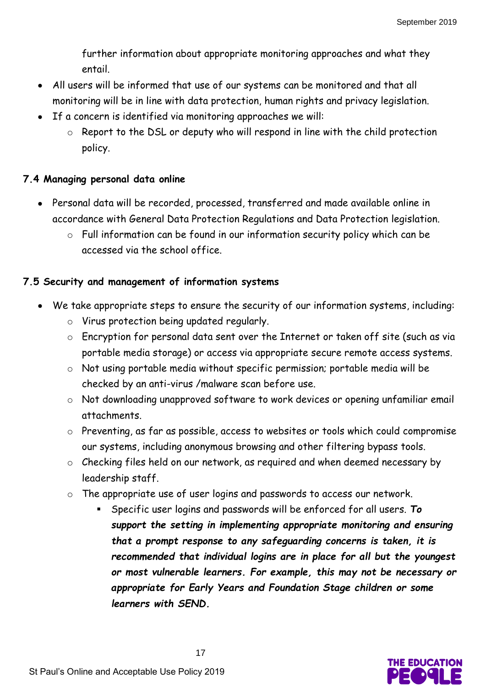further information about appropriate monitoring approaches and what they entail.

- All users will be informed that use of our systems can be monitored and that all monitoring will be in line with data protection, human rights and privacy legislation.
- If a concern is identified via monitoring approaches we will:
	- o Report to the DSL or deputy who will respond in line with the child protection policy.

## **7.4 Managing personal data online**

- Personal data will be recorded, processed, transferred and made available online in accordance with General Data Protection Regulations and Data Protection legislation.
	- o Full information can be found in our information security policy which can be accessed via the school office.

## **7.5 Security and management of information systems**

- We take appropriate steps to ensure the security of our information systems, including:
	- o Virus protection being updated regularly.
	- o Encryption for personal data sent over the Internet or taken off site (such as via portable media storage) or access via appropriate secure remote access systems.
	- o Not using portable media without specific permission; portable media will be checked by an anti-virus /malware scan before use.
	- o Not downloading unapproved software to work devices or opening unfamiliar email attachments.
	- o Preventing, as far as possible, access to websites or tools which could compromise our systems, including anonymous browsing and other filtering bypass tools.
	- o Checking files held on our network, as required and when deemed necessary by leadership staff.
	- o The appropriate use of user logins and passwords to access our network.
		- Specific user logins and passwords will be enforced for all users. *To support the setting in implementing appropriate monitoring and ensuring that a prompt response to any safeguarding concerns is taken, it is recommended that individual logins are in place for all but the youngest or most vulnerable learners. For example, this may not be necessary or appropriate for Early Years and Foundation Stage children or some learners with SEND.*

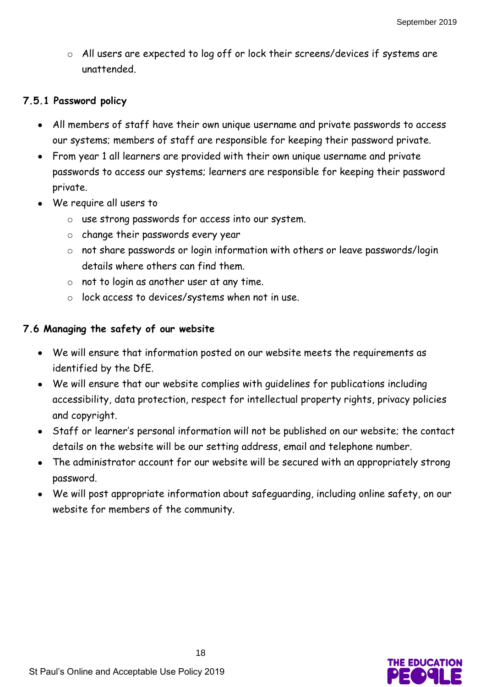o All users are expected to log off or lock their screens/devices if systems are unattended.

#### **7.5.1 Password policy**

- All members of staff have their own unique username and private passwords to access our systems; members of staff are responsible for keeping their password private.
- From year 1 all learners are provided with their own unique username and private passwords to access our systems; learners are responsible for keeping their password private.
- We require all users to
	- o use strong passwords for access into our system.
	- o change their passwords every year
	- o not share passwords or login information with others or leave passwords/login details where others can find them.
	- o not to login as another user at any time.
	- o lock access to devices/systems when not in use.

#### **7.6 Managing the safety of our website**

- We will ensure that information posted on our website meets the requirements as identified by the DfE.
- We will ensure that our website complies with guidelines for publications including accessibility, data protection, respect for intellectual property rights, privacy policies and copyright.
- Staff or learner's personal information will not be published on our website; the contact details on the website will be our setting address, email and telephone number.
- The administrator account for our website will be secured with an appropriately strong password.
- We will post appropriate information about safeguarding, including online safety, on our website for members of the community.

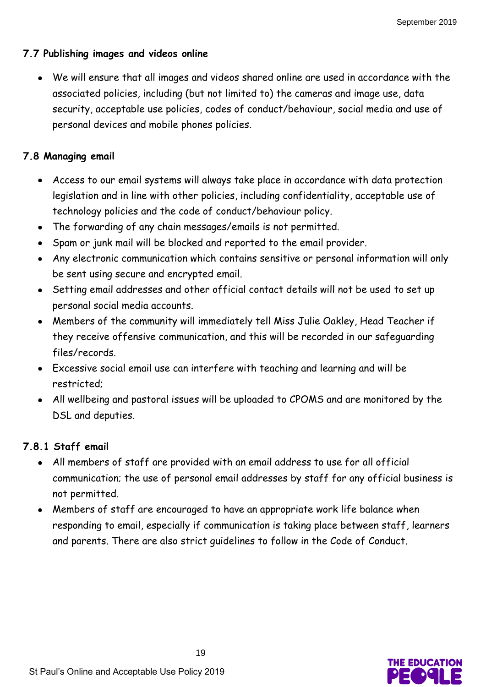## **7.7 Publishing images and videos online**

 We will ensure that all images and videos shared online are used in accordance with the associated policies, including (but not limited to) the cameras and image use, data security, acceptable use policies, codes of conduct/behaviour, social media and use of personal devices and mobile phones policies.

# **7.8 Managing email**

- Access to our email systems will always take place in accordance with data protection legislation and in line with other policies, including confidentiality, acceptable use of technology policies and the code of conduct/behaviour policy.
- The forwarding of any chain messages/emails is not permitted.
- Spam or junk mail will be blocked and reported to the email provider.
- Any electronic communication which contains sensitive or personal information will only be sent using secure and encrypted email.
- Setting email addresses and other official contact details will not be used to set up personal social media accounts.
- Members of the community will immediately tell Miss Julie Oakley, Head Teacher if they receive offensive communication, and this will be recorded in our safeguarding files/records.
- Excessive social email use can interfere with teaching and learning and will be restricted;
- All wellbeing and pastoral issues will be uploaded to CPOMS and are monitored by the DSL and deputies.

# **7.8.1 Staff email**

- All members of staff are provided with an email address to use for all official communication; the use of personal email addresses by staff for any official business is not permitted.
- Members of staff are encouraged to have an appropriate work life balance when responding to email, especially if communication is taking place between staff, learners and parents. There are also strict guidelines to follow in the Code of Conduct.

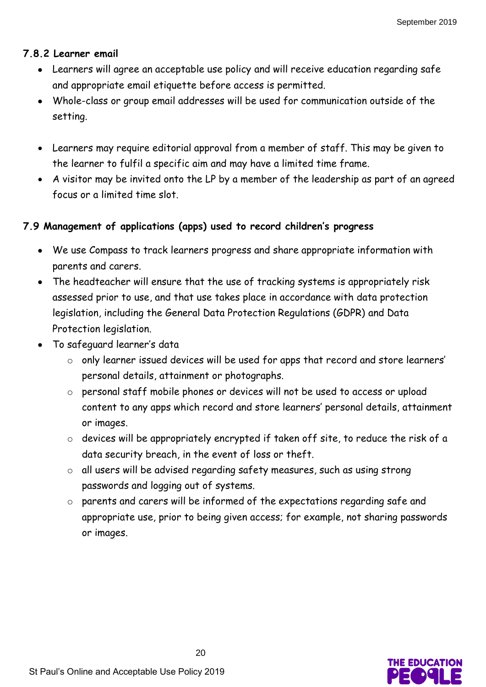#### **7.8.2 Learner email**

- Learners will agree an acceptable use policy and will receive education regarding safe and appropriate email etiquette before access is permitted.
- Whole-class or group email addresses will be used for communication outside of the setting.
- Learners may require editorial approval from a member of staff. This may be given to the learner to fulfil a specific aim and may have a limited time frame.
- A visitor may be invited onto the LP by a member of the leadership as part of an agreed focus or a limited time slot.

## **7.9 Management of applications (apps) used to record children's progress**

- We use Compass to track learners progress and share appropriate information with parents and carers.
- The headteacher will ensure that the use of tracking systems is appropriately risk assessed prior to use, and that use takes place in accordance with data protection legislation, including the General Data Protection Regulations (GDPR) and Data Protection legislation.
- To safeguard learner's data
	- o only learner issued devices will be used for apps that record and store learners' personal details, attainment or photographs.
	- o personal staff mobile phones or devices will not be used to access or upload content to any apps which record and store learners' personal details, attainment or images.
	- o devices will be appropriately encrypted if taken off site, to reduce the risk of a data security breach, in the event of loss or theft.
	- o all users will be advised regarding safety measures, such as using strong passwords and logging out of systems.
	- o parents and carers will be informed of the expectations regarding safe and appropriate use, prior to being given access; for example, not sharing passwords or images.

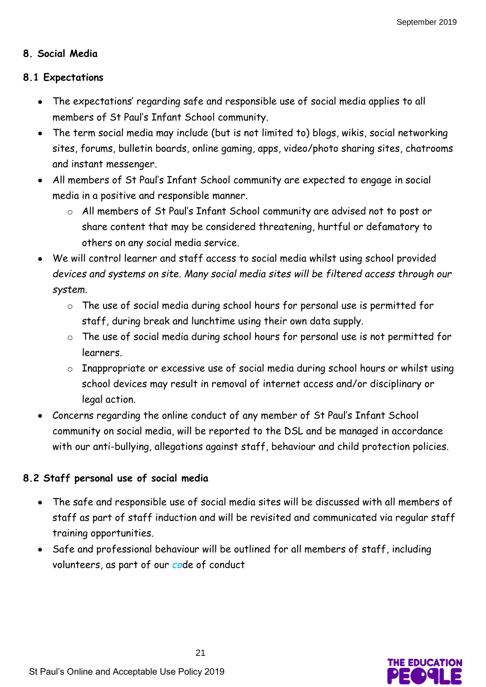#### **8. Social Media**

#### **8.1 Expectations**

- The expectations' regarding safe and responsible use of social media applies to all members of St Paul's Infant School community.
- The term social media may include (but is not limited to) blogs, wikis, social networking sites, forums, bulletin boards, online gaming, apps, video/photo sharing sites, chatrooms and instant messenger.
- All members of St Paul's Infant School community are expected to engage in social media in a positive and responsible manner.
	- o All members of St Paul's Infant School community are advised not to post or share content that may be considered threatening, hurtful or defamatory to others on any social media service.
- We will control learner and staff access to social media whilst using school provided *devices and systems on site. Many social media sites will be filtered access through our system.*
	- o The use of social media during school hours for personal use is permitted for staff, during break and lunchtime using their own data supply.
	- o The use of social media during school hours for personal use is not permitted for learners.
	- o Inappropriate or excessive use of social media during school hours or whilst using school devices may result in removal of internet access and/or disciplinary or legal action.
- Concerns regarding the online conduct of any member of St Paul's Infant School community on social media, will be reported to the DSL and be managed in accordance with our anti-bullying, allegations against staff, behaviour and child protection policies.

#### **8.2 Staff personal use of social media**

- The safe and responsible use of social media sites will be discussed with all members of staff as part of staff induction and will be revisited and communicated via regular staff training opportunities.
- Safe and professional behaviour will be outlined for all members of staff, including volunteers, as part of our *co*de of conduct

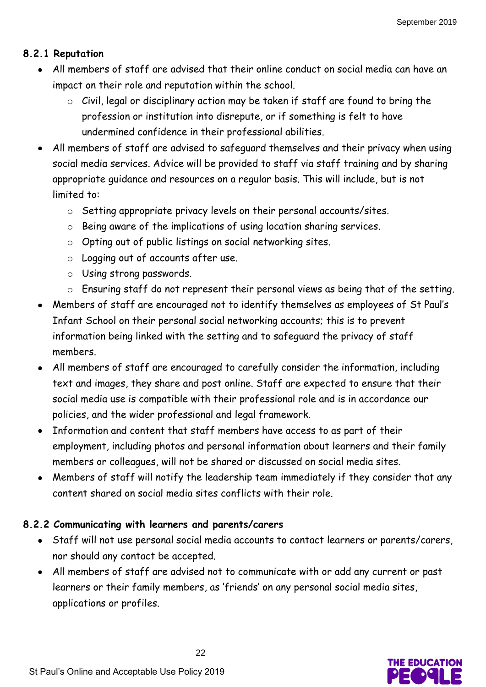## **8.2.1 Reputation**

- All members of staff are advised that their online conduct on social media can have an impact on their role and reputation within the school.
	- o Civil, legal or disciplinary action may be taken if staff are found to bring the profession or institution into disrepute, or if something is felt to have undermined confidence in their professional abilities.
- All members of staff are advised to safeguard themselves and their privacy when using social media services. Advice will be provided to staff via staff training and by sharing appropriate guidance and resources on a regular basis. This will include, but is not limited to:
	- o Setting appropriate privacy levels on their personal accounts/sites.
	- o Being aware of the implications of using location sharing services.
	- o Opting out of public listings on social networking sites.
	- o Logging out of accounts after use.
	- o Using strong passwords.
	- o Ensuring staff do not represent their personal views as being that of the setting.
- Members of staff are encouraged not to identify themselves as employees of St Paul's Infant School on their personal social networking accounts; this is to prevent information being linked with the setting and to safeguard the privacy of staff members.
- All members of staff are encouraged to carefully consider the information, including text and images, they share and post online. Staff are expected to ensure that their social media use is compatible with their professional role and is in accordance our policies, and the wider professional and legal framework.
- Information and content that staff members have access to as part of their employment, including photos and personal information about learners and their family members or colleagues, will not be shared or discussed on social media sites.
- Members of staff will notify the leadership team immediately if they consider that any content shared on social media sites conflicts with their role.

# **8.2.2 Communicating with learners and parents/carers**

- Staff will not use personal social media accounts to contact learners or parents/carers, nor should any contact be accepted.
- All members of staff are advised not to communicate with or add any current or past learners or their family members, as 'friends' on any personal social media sites, applications or profiles.

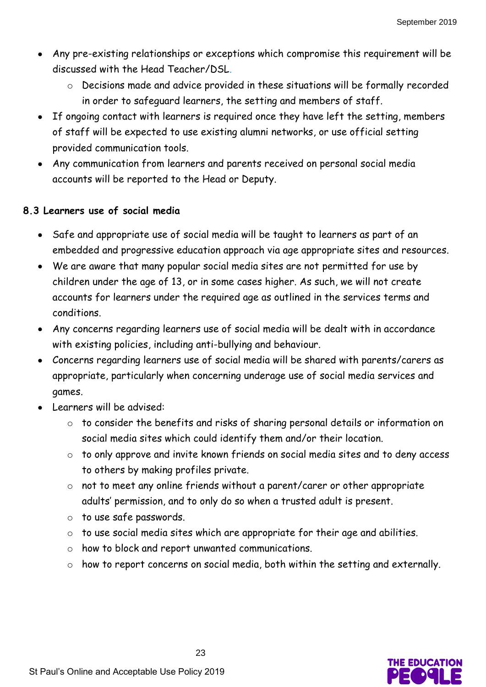- Any pre-existing relationships or exceptions which compromise this requirement will be discussed with the Head Teacher/DSL*.*
	- o Decisions made and advice provided in these situations will be formally recorded in order to safeguard learners, the setting and members of staff.
- If ongoing contact with learners is required once they have left the setting, members of staff will be expected to use existing alumni networks, or use official setting provided communication tools.
- Any communication from learners and parents received on personal social media accounts will be reported to the Head or Deputy.

#### **8.3 Learners use of social media**

- Safe and appropriate use of social media will be taught to learners as part of an embedded and progressive education approach via age appropriate sites and resources.
- We are aware that many popular social media sites are not permitted for use by children under the age of 13, or in some cases higher. As such, we will not create accounts for learners under the required age as outlined in the services terms and conditions.
- Any concerns regarding learners use of social media will be dealt with in accordance with existing policies, including anti-bullying and behaviour.
- Concerns regarding learners use of social media will be shared with parents/carers as appropriate, particularly when concerning underage use of social media services and games.
- Learners will be advised:
	- o to consider the benefits and risks of sharing personal details or information on social media sites which could identify them and/or their location.
	- o to only approve and invite known friends on social media sites and to deny access to others by making profiles private.
	- o not to meet any online friends without a parent/carer or other appropriate adults' permission, and to only do so when a trusted adult is present.
	- o to use safe passwords.
	- o to use social media sites which are appropriate for their age and abilities.
	- o how to block and report unwanted communications.
	- o how to report concerns on social media, both within the setting and externally.

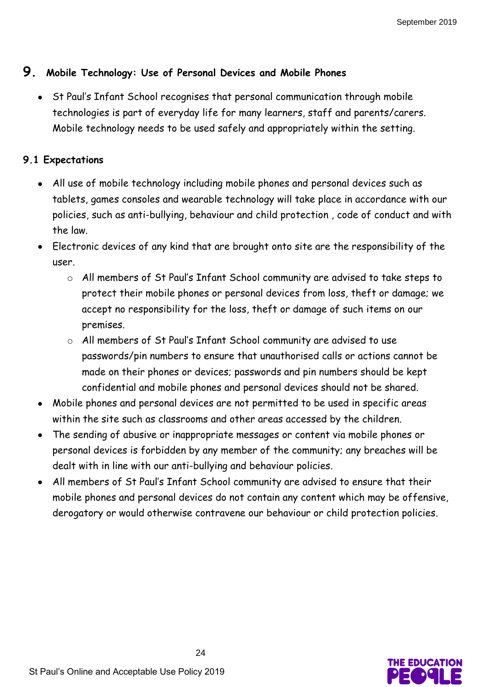# **9. Mobile Technology: Use of Personal Devices and Mobile Phones**

 St Paul's Infant School recognises that personal communication through mobile technologies is part of everyday life for many learners, staff and parents/carers. Mobile technology needs to be used safely and appropriately within the setting.

# **9.1 Expectations**

- All use of mobile technology including mobile phones and personal devices such as tablets, games consoles and wearable technology will take place in accordance with our policies, such as anti-bullying, behaviour and child protection , code of conduct and with the law.
- Electronic devices of any kind that are brought onto site are the responsibility of the user.
	- o All members of St Paul's Infant School community are advised to take steps to protect their mobile phones or personal devices from loss, theft or damage; we accept no responsibility for the loss, theft or damage of such items on our premises.
	- o All members of St Paul's Infant School community are advised to use passwords/pin numbers to ensure that unauthorised calls or actions cannot be made on their phones or devices; passwords and pin numbers should be kept confidential and mobile phones and personal devices should not be shared.
- Mobile phones and personal devices are not permitted to be used in specific areas within the site such as classrooms and other areas accessed by the children.
- The sending of abusive or inappropriate messages or content via mobile phones or personal devices is forbidden by any member of the community; any breaches will be dealt with in line with our anti-bullying and behaviour policies.
- All members of St Paul's Infant School community are advised to ensure that their mobile phones and personal devices do not contain any content which may be offensive, derogatory or would otherwise contravene our behaviour or child protection policies.

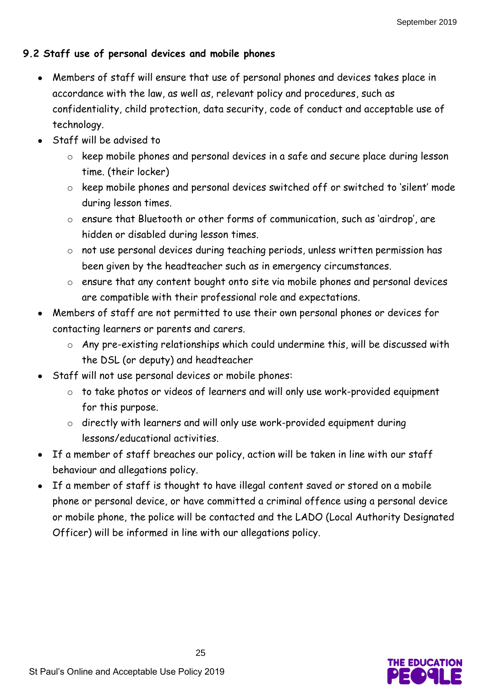# **9.2 Staff use of personal devices and mobile phones**

- Members of staff will ensure that use of personal phones and devices takes place in accordance with the law, as well as, relevant policy and procedures, such as confidentiality, child protection, data security, code of conduct and acceptable use of technology.
- Staff will be advised to
	- o keep mobile phones and personal devices in a safe and secure place during lesson time. (their locker)
	- o keep mobile phones and personal devices switched off or switched to 'silent' mode during lesson times.
	- o ensure that Bluetooth or other forms of communication, such as 'airdrop', are hidden or disabled during lesson times.
	- o not use personal devices during teaching periods, unless written permission has been given by the headteacher such as in emergency circumstances.
	- o ensure that any content bought onto site via mobile phones and personal devices are compatible with their professional role and expectations.
- Members of staff are not permitted to use their own personal phones or devices for contacting learners or parents and carers.
	- o Any pre-existing relationships which could undermine this, will be discussed with the DSL (or deputy) and headteacher
- Staff will not use personal devices or mobile phones:
	- o to take photos or videos of learners and will only use work-provided equipment for this purpose.
	- o directly with learners and will only use work-provided equipment during lessons/educational activities.
- If a member of staff breaches our policy, action will be taken in line with our staff behaviour and allegations policy.
- If a member of staff is thought to have illegal content saved or stored on a mobile phone or personal device, or have committed a criminal offence using a personal device or mobile phone, the police will be contacted and the LADO (Local Authority Designated Officer) will be informed in line with our allegations policy.

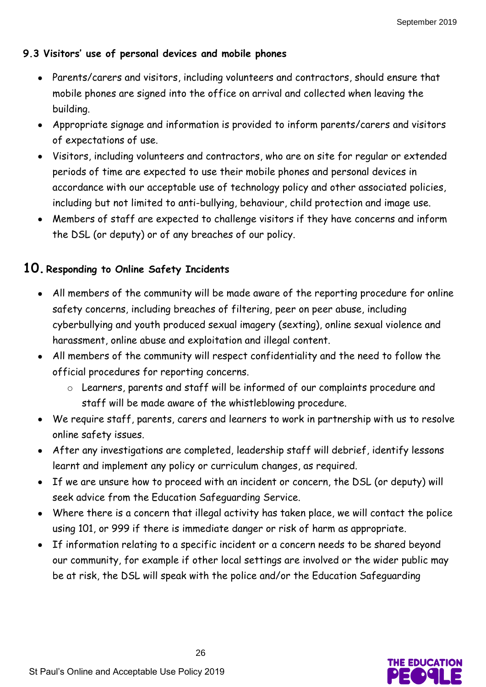# **9.3 Visitors' use of personal devices and mobile phones**

- Parents/carers and visitors, including volunteers and contractors, should ensure that mobile phones are signed into the office on arrival and collected when leaving the building.
- Appropriate signage and information is provided to inform parents/carers and visitors of expectations of use.
- Visitors, including volunteers and contractors, who are on site for regular or extended periods of time are expected to use their mobile phones and personal devices in accordance with our acceptable use of technology policy and other associated policies, including but not limited to anti-bullying, behaviour, child protection and image use.
- Members of staff are expected to challenge visitors if they have concerns and inform the DSL (or deputy) or of any breaches of our policy.

# **10. Responding to Online Safety Incidents**

- All members of the community will be made aware of the reporting procedure for online safety concerns, including breaches of filtering, peer on peer abuse, including cyberbullying and youth produced sexual imagery (sexting), online sexual violence and harassment, online abuse and exploitation and illegal content.
- All members of the community will respect confidentiality and the need to follow the official procedures for reporting concerns.
	- o Learners, parents and staff will be informed of our complaints procedure and staff will be made aware of the whistleblowing procedure.
- We require staff, parents, carers and learners to work in partnership with us to resolve online safety issues.
- After any investigations are completed, leadership staff will debrief, identify lessons learnt and implement any policy or curriculum changes, as required.
- If we are unsure how to proceed with an incident or concern, the DSL (or deputy) will seek advice from the Education Safeguarding Service.
- Where there is a concern that illegal activity has taken place, we will contact the police using 101, or 999 if there is immediate danger or risk of harm as appropriate.
- If information relating to a specific incident or a concern needs to be shared beyond our community, for example if other local settings are involved or the wider public may be at risk, the DSL will speak with the police and/or the Education Safeguarding

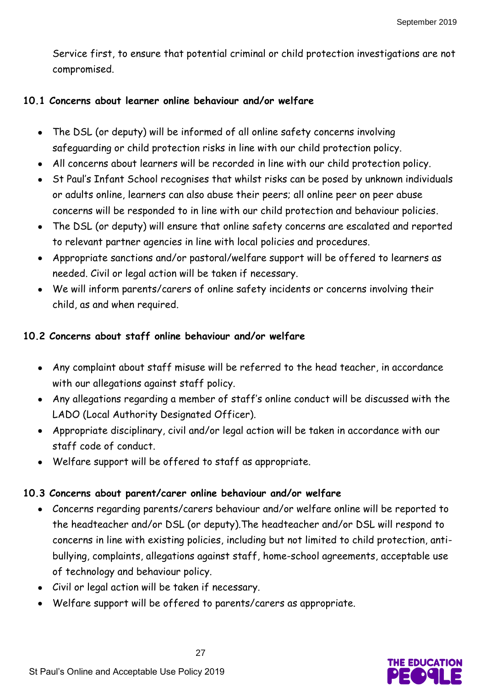Service first, to ensure that potential criminal or child protection investigations are not compromised.

## **10.1 Concerns about learner online behaviour and/or welfare**

- The DSL (or deputy) will be informed of all online safety concerns involving safeguarding or child protection risks in line with our child protection policy.
- All concerns about learners will be recorded in line with our child protection policy.
- St Paul's Infant School recognises that whilst risks can be posed by unknown individuals or adults online, learners can also abuse their peers; all online peer on peer abuse concerns will be responded to in line with our child protection and behaviour policies.
- The DSL (or deputy) will ensure that online safety concerns are escalated and reported to relevant partner agencies in line with local policies and procedures.
- Appropriate sanctions and/or pastoral/welfare support will be offered to learners as needed. Civil or legal action will be taken if necessary.
- We will inform parents/carers of online safety incidents or concerns involving their child, as and when required.

# **10.2 Concerns about staff online behaviour and/or welfare**

- Any complaint about staff misuse will be referred to the head teacher, in accordance with our allegations against staff policy.
- Any allegations regarding a member of staff's online conduct will be discussed with the LADO (Local Authority Designated Officer).
- Appropriate disciplinary, civil and/or legal action will be taken in accordance with our staff code of conduct.
- Welfare support will be offered to staff as appropriate.

# **10.3 Concerns about parent/carer online behaviour and/or welfare**

- Concerns regarding parents/carers behaviour and/or welfare online will be reported to the headteacher and/or DSL (or deputy).The headteacher and/or DSL will respond to concerns in line with existing policies, including but not limited to child protection, antibullying, complaints, allegations against staff, home-school agreements, acceptable use of technology and behaviour policy.
- Civil or legal action will be taken if necessary.
- Welfare support will be offered to parents/carers as appropriate.

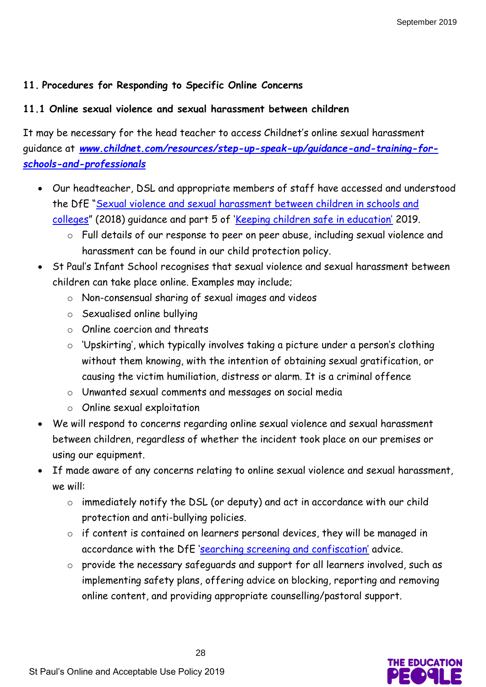#### **11. Procedures for Responding to Specific Online Concerns**

#### **11.1 Online sexual violence and sexual harassment between children**

It may be necessary for the head teacher to access Childnet's online sexual harassment guidance at *[www.childnet.com/resources/step-up-speak-up/guidance-and-training-for](http://www.childnet.com/resources/step-up-speak-up/guidance-and-training-for-schools-and-professionals)[schools-and-professionals](http://www.childnet.com/resources/step-up-speak-up/guidance-and-training-for-schools-and-professionals)*

- Our headteacher, DSL and appropriate members of staff have accessed and understood the DfE "[Sexual violence and sexual harassment between children in schools and](https://www.gov.uk/government/publications/sexual-violence-and-sexual-harassment-between-children-in-schools-and-colleges)  [colleges](https://www.gov.uk/government/publications/sexual-violence-and-sexual-harassment-between-children-in-schools-and-colleges)" (2018) guidance and part 5 of ['Keeping children safe in education'](https://www.gov.uk/government/publications/keeping-children-safe-in-education--2) 2019.
	- o Full details of our response to peer on peer abuse, including sexual violence and harassment can be found in our child protection policy.
- St Paul's Infant School recognises that sexual violence and sexual harassment between children can take place online. Examples may include;
	- o Non-consensual sharing of sexual images and videos
	- o Sexualised online bullying
	- o Online coercion and threats
	- o 'Upskirting', which typically involves taking a picture under a person's clothing without them knowing, with the intention of obtaining sexual gratification, or causing the victim humiliation, distress or alarm. It is a criminal offence
	- o Unwanted sexual comments and messages on social media
	- o Online sexual exploitation
- We will respond to concerns regarding online sexual violence and sexual harassment between children, regardless of whether the incident took place on our premises or using our equipment.
- If made aware of any concerns relating to online sexual violence and sexual harassment, we will:
	- o immediately notify the DSL (or deputy) and act in accordance with our child protection and anti-bullying policies.
	- o if content is contained on learners personal devices, they will be managed in accordance with the DfE ['searching screening and confiscation'](https://www.gov.uk/government/publications/searching-screening-and-confiscation) advice.
	- o provide the necessary safeguards and support for all learners involved, such as implementing safety plans, offering advice on blocking, reporting and removing online content, and providing appropriate counselling/pastoral support.

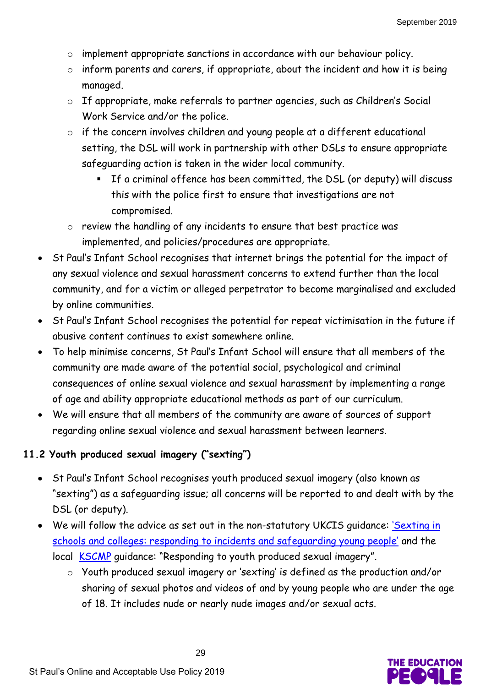- o implement appropriate sanctions in accordance with our behaviour policy.
- o inform parents and carers, if appropriate, about the incident and how it is being managed.
- o If appropriate, make referrals to partner agencies, such as Children's Social Work Service and/or the police.
- o if the concern involves children and young people at a different educational setting, the DSL will work in partnership with other DSLs to ensure appropriate safeguarding action is taken in the wider local community.
	- If a criminal offence has been committed, the DSL (or deputy) will discuss this with the police first to ensure that investigations are not compromised.
- o review the handling of any incidents to ensure that best practice was implemented, and policies/procedures are appropriate.
- St Paul's Infant School recognises that internet brings the potential for the impact of any sexual violence and sexual harassment concerns to extend further than the local community, and for a victim or alleged perpetrator to become marginalised and excluded by online communities.
- St Paul's Infant School recognises the potential for repeat victimisation in the future if abusive content continues to exist somewhere online.
- To help minimise concerns, St Paul's Infant School will ensure that all members of the community are made aware of the potential social, psychological and criminal consequences of online sexual violence and sexual harassment by implementing a range of age and ability appropriate educational methods as part of our curriculum.
- We will ensure that all members of the community are aware of sources of support regarding online sexual violence and sexual harassment between learners.

# **11.2 Youth produced sexual imagery ("sexting")**

- St Paul's Infant School recognises youth produced sexual imagery (also known as "sexting") as a safeguarding issue; all concerns will be reported to and dealt with by the DSL (or deputy).
- . We will follow the advice as set out in the non-statutory UKCIS guidance: 'Sexting in [schools and colleges: responding to incidents and safeguarding young people'](https://www.gov.uk/government/groups/uk-council-for-child-internet-safety-ukccis) and the local [KSCMP](http://www.kscb.org.uk/guidance/online-safety) guidance: "Responding to youth produced sexual imagery".
	- o Youth produced sexual imagery or 'sexting' is defined as the production and/or sharing of sexual photos and videos of and by young people who are under the age of 18. It includes nude or nearly nude images and/or sexual acts.

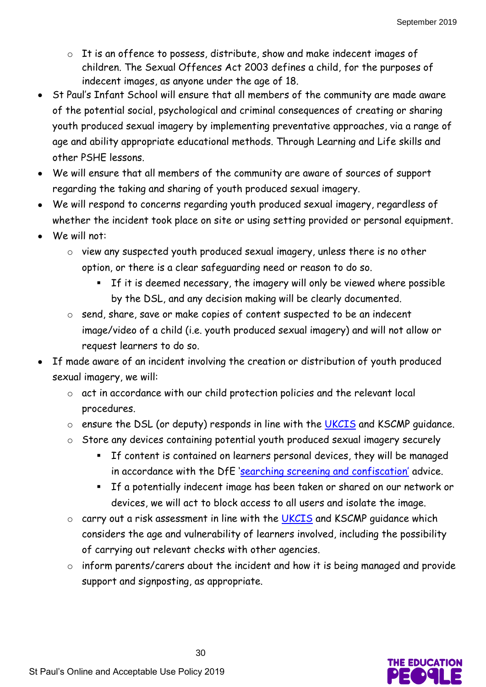- o It is an offence to possess, distribute, show and make indecent images of children. The Sexual Offences Act 2003 defines a child, for the purposes of indecent images, as anyone under the age of 18.
- St Paul's Infant School will ensure that all members of the community are made aware of the potential social, psychological and criminal consequences of creating or sharing youth produced sexual imagery by implementing preventative approaches, via a range of age and ability appropriate educational methods. Through Learning and Life skills and other PSHE lessons.
- We will ensure that all members of the community are aware of sources of support regarding the taking and sharing of youth produced sexual imagery.
- We will respond to concerns regarding youth produced sexual imagery, regardless of whether the incident took place on site or using setting provided or personal equipment.
- We will not:
	- o view any suspected youth produced sexual imagery, unless there is no other option, or there is a clear safeguarding need or reason to do so.
		- **If it is deemed necessary, the imagery will only be viewed where possible** by the DSL, and any decision making will be clearly documented.
	- o send, share, save or make copies of content suspected to be an indecent image/video of a child (i.e. youth produced sexual imagery) and will not allow or request learners to do so.
- If made aware of an incident involving the creation or distribution of youth produced sexual imagery, we will:
	- o act in accordance with our child protection policies and the relevant local procedures.
	- $\circ$  ensure the DSL (or deputy) responds in line with the [UKCIS](https://www.gov.uk/government/groups/uk-council-for-child-internet-safety-ukccis) and KSCMP quidance.
	- o Store any devices containing potential youth produced sexual imagery securely
		- If content is contained on learners personal devices, they will be managed in accordance with the DfE ['searching screening and confiscation'](https://www.gov.uk/government/publications/searching-screening-and-confiscation) advice.
		- If a potentially indecent image has been taken or shared on our network or devices, we will act to block access to all users and isolate the image.
	- o carry out a risk assessment in line with the [UKCIS](https://www.gov.uk/government/groups/uk-council-for-child-internet-safety-ukccis) and KSCMP guidance which considers the age and vulnerability of learners involved, including the possibility of carrying out relevant checks with other agencies.
	- o inform parents/carers about the incident and how it is being managed and provide support and signposting, as appropriate.

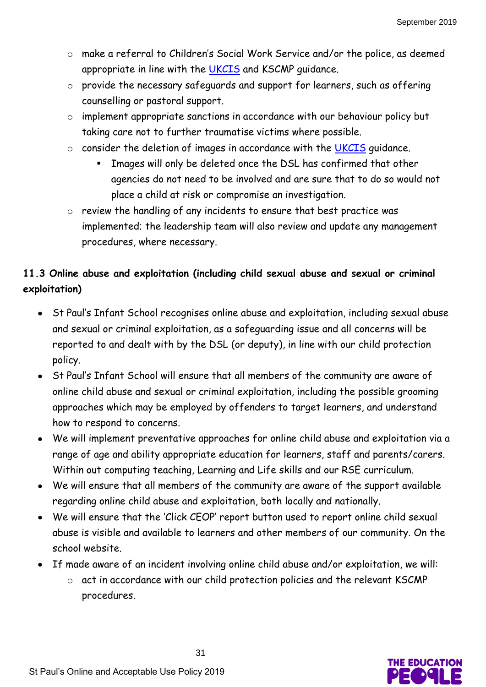- o make a referral to Children's Social Work Service and/or the police, as deemed appropriate in line with the [UKCIS](https://www.gov.uk/government/groups/uk-council-for-child-internet-safety-ukccis) and KSCMP guidance.
- o provide the necessary safeguards and support for learners, such as offering counselling or pastoral support.
- o implement appropriate sanctions in accordance with our behaviour policy but taking care not to further traumatise victims where possible.
- o consider the deletion of images in accordance with the [UKCIS](https://www.gov.uk/government/groups/uk-council-for-child-internet-safety-ukccis) guidance.
	- Images will only be deleted once the DSL has confirmed that other agencies do not need to be involved and are sure that to do so would not place a child at risk or compromise an investigation.
- o review the handling of any incidents to ensure that best practice was implemented; the leadership team will also review and update any management procedures, where necessary.

# **11.3 Online abuse and exploitation (including child sexual abuse and sexual or criminal exploitation)**

- St Paul's Infant School recognises online abuse and exploitation, including sexual abuse and sexual or criminal exploitation, as a safeguarding issue and all concerns will be reported to and dealt with by the DSL (or deputy), in line with our child protection policy.
- St Paul's Infant School will ensure that all members of the community are aware of online child abuse and sexual or criminal exploitation, including the possible grooming approaches which may be employed by offenders to target learners, and understand how to respond to concerns.
- We will implement preventative approaches for online child abuse and exploitation via a range of age and ability appropriate education for learners, staff and parents/carers. Within out computing teaching, Learning and Life skills and our RSE curriculum.
- We will ensure that all members of the community are aware of the support available regarding online child abuse and exploitation, both locally and nationally.
- We will ensure that the 'Click CEOP' report button used to report online child sexual abuse is visible and available to learners and other members of our community. On the school website.
- If made aware of an incident involving online child abuse and/or exploitation, we will:
	- o act in accordance with our child protection policies and the relevant KSCMP procedures.

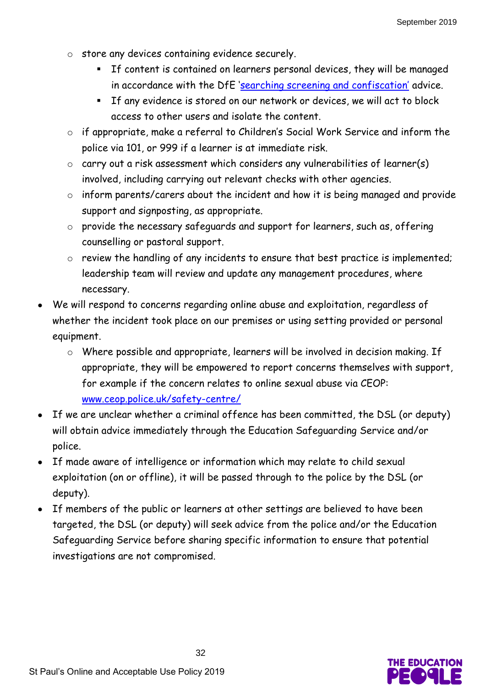- o store any devices containing evidence securely.
	- If content is contained on learners personal devices, they will be managed in accordance with the DfE ['searching screening and confiscation'](https://www.gov.uk/government/publications/searching-screening-and-confiscation) advice.
	- If any evidence is stored on our network or devices, we will act to block access to other users and isolate the content.
- o if appropriate, make a referral to Children's Social Work Service and inform the police via 101, or 999 if a learner is at immediate risk.
- o carry out a risk assessment which considers any vulnerabilities of learner(s) involved, including carrying out relevant checks with other agencies.
- o inform parents/carers about the incident and how it is being managed and provide support and signposting, as appropriate.
- o provide the necessary safeguards and support for learners, such as, offering counselling or pastoral support.
- o review the handling of any incidents to ensure that best practice is implemented; leadership team will review and update any management procedures, where necessary.
- We will respond to concerns regarding online abuse and exploitation, regardless of whether the incident took place on our premises or using setting provided or personal equipment.
	- o Where possible and appropriate, learners will be involved in decision making. If appropriate, they will be empowered to report concerns themselves with support, for example if the concern relates to online sexual abuse via CEOP: [www.ceop.police.uk/safety-centre/](http://www.ceop.police.uk/safety-centre/)
- If we are unclear whether a criminal offence has been committed, the DSL (or deputy) will obtain advice immediately through the Education Safeguarding Service and/or police.
- If made aware of intelligence or information which may relate to child sexual exploitation (on or offline), it will be passed through to the police by the DSL (or deputy).
- If members of the public or learners at other settings are believed to have been targeted, the DSL (or deputy) will seek advice from the police and/or the Education Safeguarding Service before sharing specific information to ensure that potential investigations are not compromised.

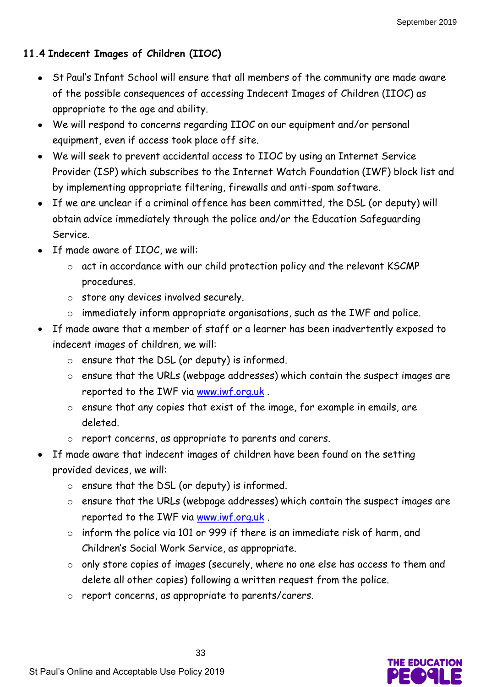# **11.4 Indecent Images of Children (IIOC)**

- St Paul's Infant School will ensure that all members of the community are made aware of the possible consequences of accessing Indecent Images of Children (IIOC) as appropriate to the age and ability.
- We will respond to concerns regarding IIOC on our equipment and/or personal equipment, even if access took place off site.
- We will seek to prevent accidental access to IIOC by using an Internet Service Provider (ISP) which subscribes to the Internet Watch Foundation (IWF) block list and by implementing appropriate filtering, firewalls and anti-spam software.
- If we are unclear if a criminal offence has been committed, the DSL (or deputy) will obtain advice immediately through the police and/or the Education Safeguarding Service.
- If made aware of IIOC, we will:
	- o act in accordance with our child protection policy and the relevant KSCMP procedures.
	- o store any devices involved securely.
	- o immediately inform appropriate organisations, such as the IWF and police.
- If made aware that a member of staff or a learner has been inadvertently exposed to indecent images of children, we will:
	- o ensure that the DSL (or deputy) is informed.
	- o ensure that the URLs (webpage addresses) which contain the suspect images are reported to the IWF via [www.iwf.org.uk](https://www.iwf.org.uk/) .
	- o ensure that any copies that exist of the image, for example in emails, are deleted.
	- o report concerns, as appropriate to parents and carers.
- If made aware that indecent images of children have been found on the setting provided devices, we will:
	- o ensure that the DSL (or deputy) is informed.
	- o ensure that the URLs (webpage addresses) which contain the suspect images are reported to the IWF via [www.iwf.org.uk](https://www.iwf.org.uk/) .
	- o inform the police via 101 or 999 if there is an immediate risk of harm, and Children's Social Work Service, as appropriate.
	- o only store copies of images (securely, where no one else has access to them and delete all other copies) following a written request from the police.
	- o report concerns, as appropriate to parents/carers.

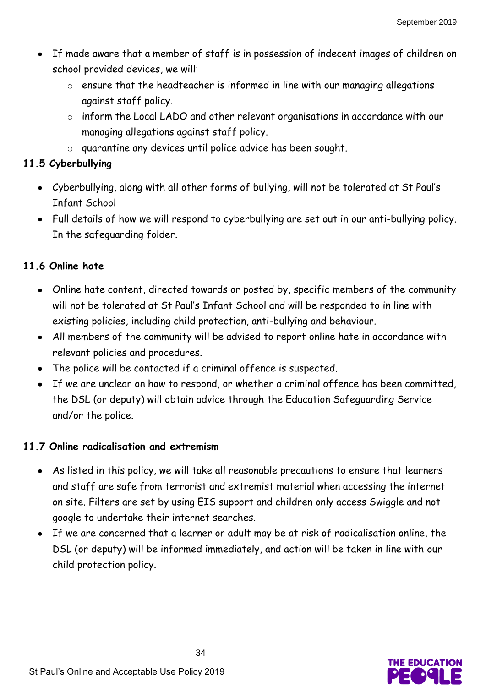- If made aware that a member of staff is in possession of indecent images of children on school provided devices, we will:
	- o ensure that the headteacher is informed in line with our managing allegations against staff policy.
	- o inform the Local LADO and other relevant organisations in accordance with our managing allegations against staff policy.
	- o quarantine any devices until police advice has been sought.

# **11.5 Cyberbullying**

- Cyberbullying, along with all other forms of bullying, will not be tolerated at St Paul's Infant School
- Full details of how we will respond to cyberbullying are set out in our anti-bullying policy. In the safeguarding folder.

# **11.6 Online hate**

- Online hate content, directed towards or posted by, specific members of the community will not be tolerated at St Paul's Infant School and will be responded to in line with existing policies, including child protection, anti-bullying and behaviour.
- All members of the community will be advised to report online hate in accordance with relevant policies and procedures.
- The police will be contacted if a criminal offence is suspected.
- If we are unclear on how to respond, or whether a criminal offence has been committed, the DSL (or deputy) will obtain advice through the Education Safeguarding Service and/or the police.

# **11.7 Online radicalisation and extremism**

- As listed in this policy, we will take all reasonable precautions to ensure that learners and staff are safe from terrorist and extremist material when accessing the internet on site. Filters are set by using EIS support and children only access Swiggle and not google to undertake their internet searches.
- If we are concerned that a learner or adult may be at risk of radicalisation online, the DSL (or deputy) will be informed immediately, and action will be taken in line with our child protection policy.

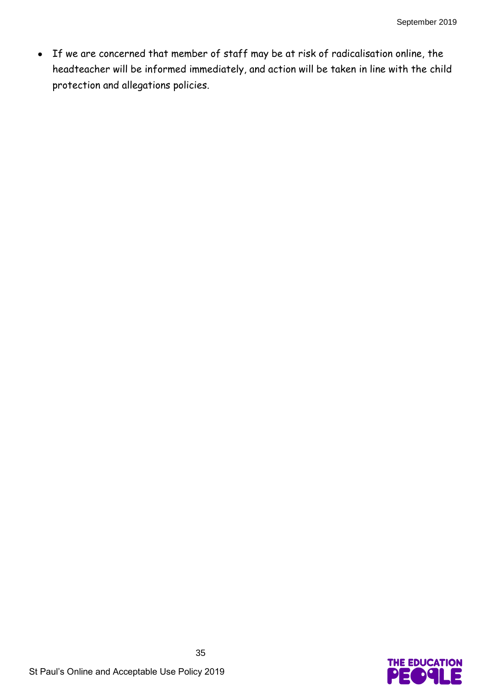If we are concerned that member of staff may be at risk of radicalisation online, the headteacher will be informed immediately, and action will be taken in line with the child protection and allegations policies.

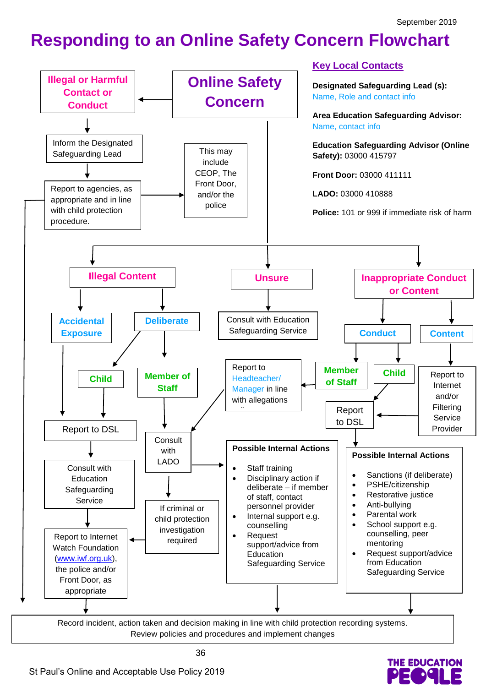**THE EDUCATION** 

# **Responding to an Online Safety Concern Flowchart**

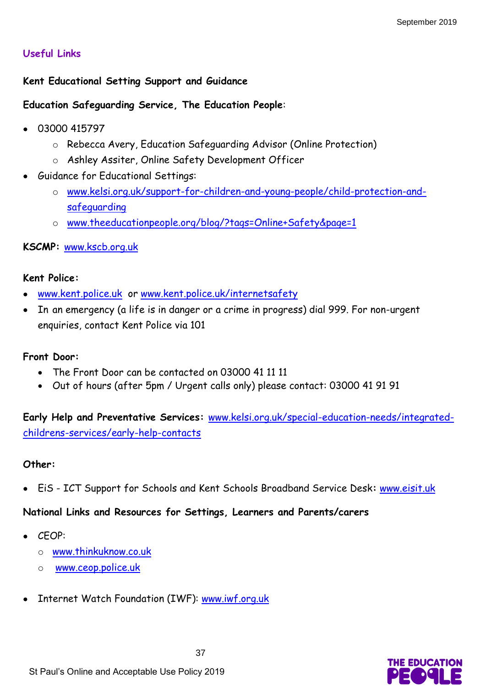#### **Useful Links**

#### **Kent Educational Setting Support and Guidance**

#### **Education Safeguarding Service, The Education People**:

- 03000 415797
	- o Rebecca Avery, Education Safeguarding Advisor (Online Protection)
	- o Ashley Assiter, Online Safety Development Officer
- Guidance for Educational Settings:
	- o [www.kelsi.org.uk/support-for-children-and-young-people/child-protection-and](http://www.kelsi.org.uk/support-for-children-and-young-people/child-protection-and-safeguarding)[safeguarding](http://www.kelsi.org.uk/support-for-children-and-young-people/child-protection-and-safeguarding)
	- o [www.theeducationpeople.org/blog/?tags=Online+Safety&page=1](http://www.theeducationpeople.org/blog/?tags=Online+Safety&page=1)

#### **KSCMP:** [www.kscb.org.uk](http://www.kscb.org.uk/)

#### **Kent Police:**

- [www.kent.police.uk](http://www.kent.police.uk/) or [www.kent.police.uk/internetsafety](http://www.kent.police.uk/internetsafety)
- In an emergency (a life is in danger or a crime in progress) dial 999. For non-urgent enquiries, contact Kent Police via 101

#### **Front Door:**

- The Front Door can be contacted on 03000 41 11 11
- Out of hours (after 5pm / Urgent calls only) please contact: 03000 41 91 91

**Early Help and Preventative Services:** [www.kelsi.org.uk/special-education-needs/integrated](http://www.kelsi.org.uk/special-education-needs/integrated-childrens-services/early-help-contacts)[childrens-services/early-help-contacts](http://www.kelsi.org.uk/special-education-needs/integrated-childrens-services/early-help-contacts)

#### **Other:**

EiS - ICT Support for Schools and Kent Schools Broadband Service Desk**:** [www.eisit.uk](http://www.eisit.uk/)

#### **National Links and Resources for Settings, Learners and Parents/carers**

- CEOP:
	- o [www.thinkuknow.co.uk](http://www.thinkuknow.co.uk/)
	- o [www.ceop.police.uk](http://www.ceop.police.uk/)
- Internet Watch Foundation (IWF): [www.iwf.org.uk](http://www.iwf.org.uk/)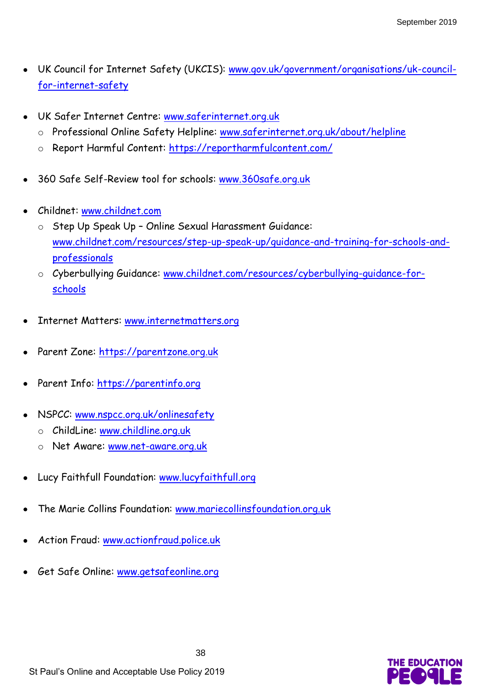- UK Council for Internet Safety (UKCIS): [www.gov.uk/government/organisations/uk-council](https://www.gov.uk/government/organisations/uk-council-for-internet-safety)[for-internet-safety](https://www.gov.uk/government/organisations/uk-council-for-internet-safety)
- UK Safer Internet Centre: [www.saferinternet.org.uk](http://www.saferinternet.org.uk/)
	- o Professional Online Safety Helpline: [www.saferinternet.org.uk/about/helpline](http://www.saferinternet.org.uk/about/helpline)
	- o Report Harmful Content:<https://reportharmfulcontent.com/>
- 360 Safe Self-Review tool for schools: [www.360safe.org.uk](http://www.360safe.org.uk/)
- Childnet: [www.childnet.com](http://www.childnet.com/)
	- o Step Up Speak Up Online Sexual Harassment Guidance: [www.childnet.com/resources/step-up-speak-up/guidance-and-training-for-schools-and](http://www.childnet.com/resources/step-up-speak-up/guidance-and-training-for-schools-and-professionals)[professionals](http://www.childnet.com/resources/step-up-speak-up/guidance-and-training-for-schools-and-professionals)
	- o Cyberbullying Guidance: [www.childnet.com/resources/cyberbullying-guidance-for](http://www.childnet.com/resources/cyberbullying-guidance-for-schools)[schools](http://www.childnet.com/resources/cyberbullying-guidance-for-schools)
- Internet Matters: [www.internetmatters.org](http://www.internetmatters.org/)
- Parent Zone: [https://parentzone.org.uk](https://parentzone.org.uk/)
- Parent Info: [https://parentinfo.org](https://parentinfo.org/)
- NSPCC: [www.nspcc.org.uk/onlinesafety](http://www.nspcc.org.uk/onlinesafety)
	- o ChildLine: [www.childline.org.uk](http://www.childline.org.uk/)
	- o Net Aware: [www.net-aware.org.uk](http://www.net-aware.org.uk/)
- Lucy Faithfull Foundation: [www.lucyfaithfull.org](http://www.lucyfaithfull.org/)
- The Marie Collins Foundation: [www.mariecollinsfoundation.org.uk](http://www.mariecollinsfoundation.org.uk/)
- Action Fraud: [www.actionfraud.police.uk](http://www.actionfraud.police.uk/)
- Get Safe Online: [www.getsafeonline.org](http://www.getsafeonline.org/)

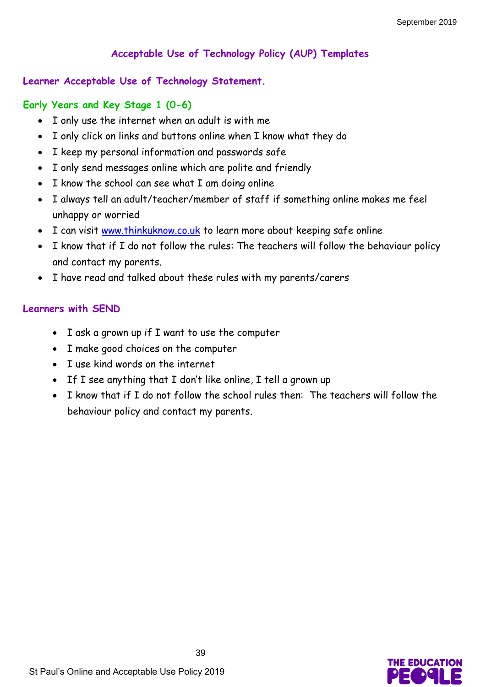# **Acceptable Use of Technology Policy (AUP) Templates**

#### **Learner Acceptable Use of Technology Statement.**

#### **Early Years and Key Stage 1 (0-6)**

- I only use the internet when an adult is with me
- I only click on links and buttons online when I know what they do
- I keep my personal information and passwords safe
- I only send messages online which are polite and friendly
- I know the school can see what I am doing online
- I always tell an adult/teacher/member of staff if something online makes me feel unhappy or worried
- I can visit [www.thinkuknow.co.uk](http://www.thinkuknow.co.uk/) to learn more about keeping safe online
- I know that if I do not follow the rules: The teachers will follow the behaviour policy and contact my parents.
- I have read and talked about these rules with my parents/carers

#### **Learners with SEND**

- I ask a grown up if I want to use the computer
- I make good choices on the computer
- I use kind words on the internet
- If I see anything that I don't like online, I tell a grown up
- I know that if I do not follow the school rules then: The teachers will follow the behaviour policy and contact my parents.

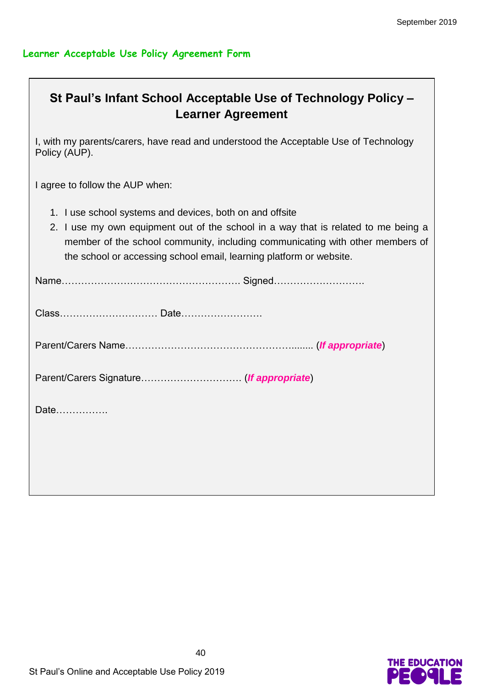#### **Learner Acceptable Use Policy Agreement Form**

# **St Paul's Infant School Acceptable Use of Technology Policy – Learner Agreement**

I, with my parents/carers, have read and understood the Acceptable Use of Technology Policy (AUP).

I agree to follow the AUP when:

- 1. I use school systems and devices, both on and offsite
- 2. I use my own equipment out of the school in a way that is related to me being a member of the school community, including communicating with other members of the school or accessing school email, learning platform or website.

| Date |  |
|------|--|
|      |  |

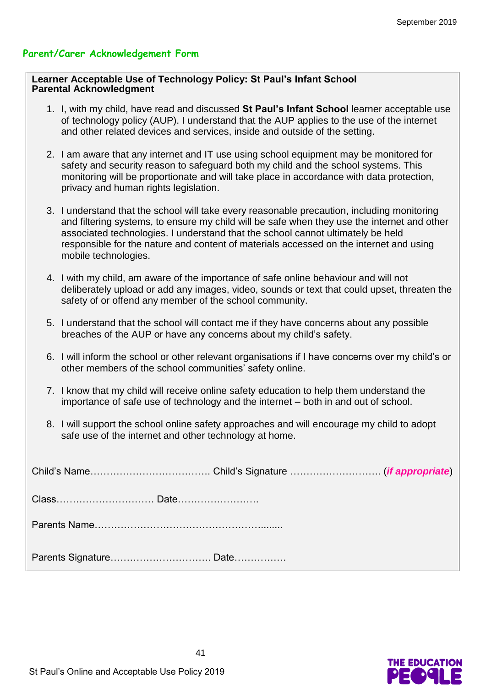#### **Parent/Carer Acknowledgement Form**

#### **Learner Acceptable Use of Technology Policy: St Paul's Infant School Parental Acknowledgment**

- 1. I, with my child, have read and discussed **St Paul's Infant School** learner acceptable use of technology policy (AUP). I understand that the AUP applies to the use of the internet and other related devices and services, inside and outside of the setting.
- 2. I am aware that any internet and IT use using school equipment may be monitored for safety and security reason to safeguard both my child and the school systems. This monitoring will be proportionate and will take place in accordance with data protection, privacy and human rights legislation.
- 3. I understand that the school will take every reasonable precaution, including monitoring and filtering systems, to ensure my child will be safe when they use the internet and other associated technologies. I understand that the school cannot ultimately be held responsible for the nature and content of materials accessed on the internet and using mobile technologies.
- 4. I with my child, am aware of the importance of safe online behaviour and will not deliberately upload or add any images, video, sounds or text that could upset, threaten the safety of or offend any member of the school community.
- 5. I understand that the school will contact me if they have concerns about any possible breaches of the AUP or have any concerns about my child's safety.
- 6. I will inform the school or other relevant organisations if I have concerns over my child's or other members of the school communities' safety online.
- 7. I know that my child will receive online safety education to help them understand the importance of safe use of technology and the internet – both in and out of school.
- 8. I will support the school online safety approaches and will encourage my child to adopt safe use of the internet and other technology at home.

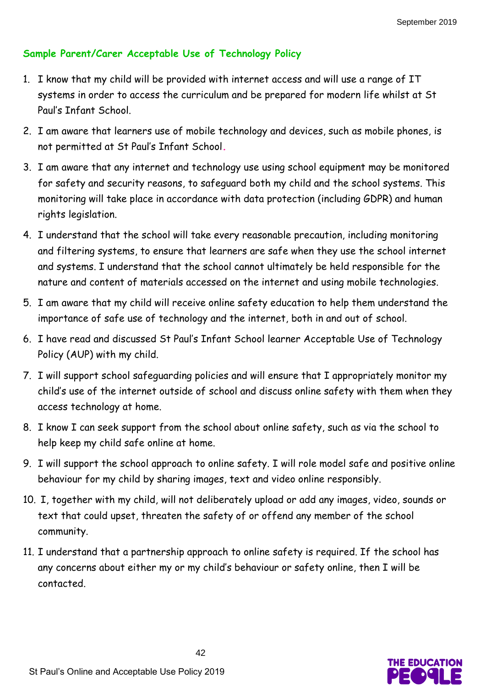# **Sample Parent/Carer Acceptable Use of Technology Policy**

- 1. I know that my child will be provided with internet access and will use a range of IT systems in order to access the curriculum and be prepared for modern life whilst at St Paul's Infant School.
- 2. I am aware that learners use of mobile technology and devices, such as mobile phones, is not permitted at St Paul's Infant School*.*
- 3. I am aware that any internet and technology use using school equipment may be monitored for safety and security reasons, to safeguard both my child and the school systems. This monitoring will take place in accordance with data protection (including GDPR) and human rights legislation.
- 4. I understand that the school will take every reasonable precaution, including monitoring and filtering systems, to ensure that learners are safe when they use the school internet and systems. I understand that the school cannot ultimately be held responsible for the nature and content of materials accessed on the internet and using mobile technologies.
- 5. I am aware that my child will receive online safety education to help them understand the importance of safe use of technology and the internet, both in and out of school.
- 6. I have read and discussed St Paul's Infant School learner Acceptable Use of Technology Policy (AUP) with my child.
- 7. I will support school safeguarding policies and will ensure that I appropriately monitor my child's use of the internet outside of school and discuss online safety with them when they access technology at home.
- 8. I know I can seek support from the school about online safety, such as via the school to help keep my child safe online at home.
- 9. I will support the school approach to online safety. I will role model safe and positive online behaviour for my child by sharing images, text and video online responsibly.
- 10. I, together with my child, will not deliberately upload or add any images, video, sounds or text that could upset, threaten the safety of or offend any member of the school community.
- 11. I understand that a partnership approach to online safety is required. If the school has any concerns about either my or my child's behaviour or safety online, then I will be contacted.

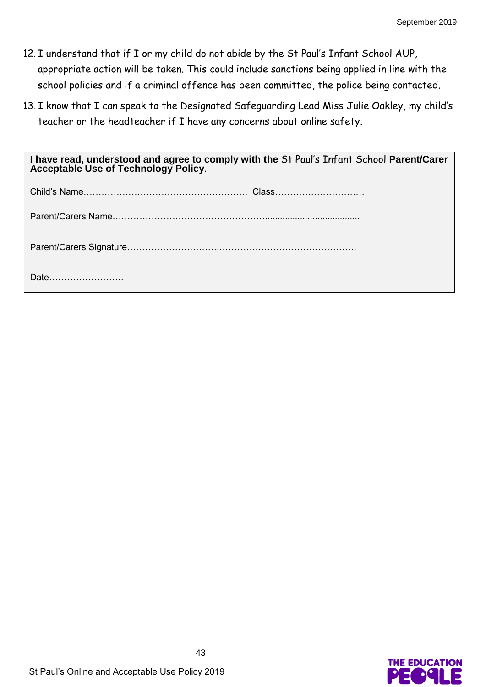- 12. I understand that if I or my child do not abide by the St Paul's Infant School AUP, appropriate action will be taken. This could include sanctions being applied in line with the school policies and if a criminal offence has been committed, the police being contacted.
- 13. I know that I can speak to the Designated Safeguarding Lead Miss Julie Oakley, my child's teacher or the headteacher if I have any concerns about online safety.

| I have read, understood and agree to comply with the St Paul's Infant School Parent/Carer<br><b>Acceptable Use of Technology Policy.</b> |  |  |
|------------------------------------------------------------------------------------------------------------------------------------------|--|--|
|                                                                                                                                          |  |  |
|                                                                                                                                          |  |  |
|                                                                                                                                          |  |  |
| Date                                                                                                                                     |  |  |

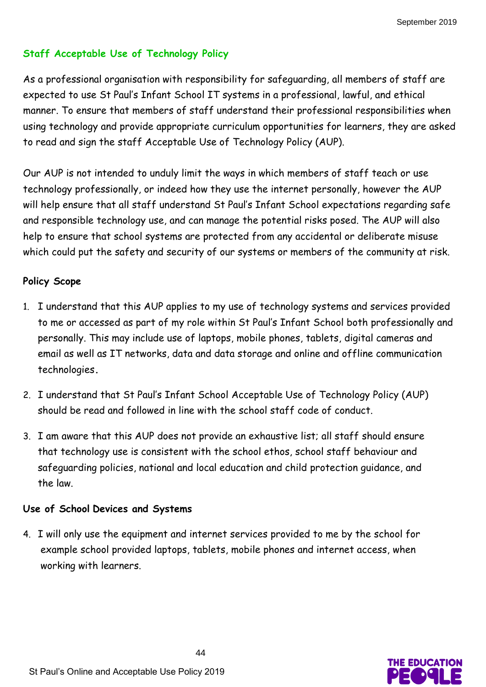# **Staff Acceptable Use of Technology Policy**

As a professional organisation with responsibility for safeguarding, all members of staff are expected to use St Paul's Infant School IT systems in a professional, lawful, and ethical manner. To ensure that members of staff understand their professional responsibilities when using technology and provide appropriate curriculum opportunities for learners, they are asked to read and sign the staff Acceptable Use of Technology Policy (AUP).

Our AUP is not intended to unduly limit the ways in which members of staff teach or use technology professionally, or indeed how they use the internet personally, however the AUP will help ensure that all staff understand St Paul's Infant School expectations regarding safe and responsible technology use, and can manage the potential risks posed. The AUP will also help to ensure that school systems are protected from any accidental or deliberate misuse which could put the safety and security of our systems or members of the community at risk.

## **Policy Scope**

- 1. I understand that this AUP applies to my use of technology systems and services provided to me or accessed as part of my role within St Paul's Infant School both professionally and personally. This may include use of laptops, mobile phones, tablets, digital cameras and email as well as IT networks, data and data storage and online and offline communication technologies**.**
- 2. I understand that St Paul's Infant School Acceptable Use of Technology Policy (AUP) should be read and followed in line with the school staff code of conduct.
- 3. I am aware that this AUP does not provide an exhaustive list; all staff should ensure that technology use is consistent with the school ethos, school staff behaviour and safeguarding policies, national and local education and child protection guidance, and the law.

#### **Use of School Devices and Systems**

4. I will only use the equipment and internet services provided to me by the school for example school provided laptops, tablets, mobile phones and internet access, when working with learners.

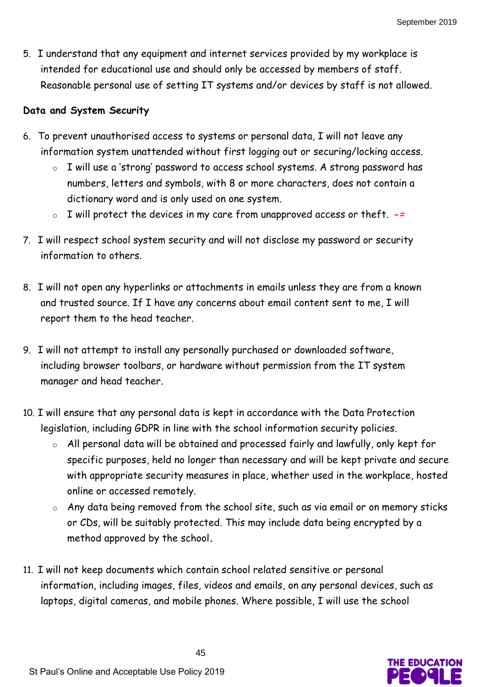5. I understand that any equipment and internet services provided by my workplace is intended for educational use and should only be accessed by members of staff. Reasonable personal use of setting IT systems and/or devices by staff is not allowed.

#### **Data and System Security**

- 6. To prevent unauthorised access to systems or personal data, I will not leave any information system unattended without first logging out or securing/locking access.
	- o I will use a 'strong' password to access school systems. A strong password has numbers, letters and symbols, with 8 or more characters, does not contain a dictionary word and is only used on one system.
	- o I will protect the devices in my care from unapproved access or theft. *-=*
- 7. I will respect school system security and will not disclose my password or security information to others.
- 8. I will not open any hyperlinks or attachments in emails unless they are from a known and trusted source. If I have any concerns about email content sent to me, I will report them to the head teacher.
- 9. I will not attempt to install any personally purchased or downloaded software, including browser toolbars, or hardware without permission from the IT system manager and head teacher.
- 10. I will ensure that any personal data is kept in accordance with the Data Protection legislation, including GDPR in line with the school information security policies.
	- o All personal data will be obtained and processed fairly and lawfully, only kept for specific purposes, held no longer than necessary and will be kept private and secure with appropriate security measures in place, whether used in the workplace, hosted online or accessed remotely.
	- o Any data being removed from the school site, such as via email or on memory sticks or CDs, will be suitably protected. This may include data being encrypted by a method approved by the school*.*
- 11. I will not keep documents which contain school related sensitive or personal information, including images, files, videos and emails, on any personal devices, such as laptops, digital cameras, and mobile phones. Where possible, I will use the school

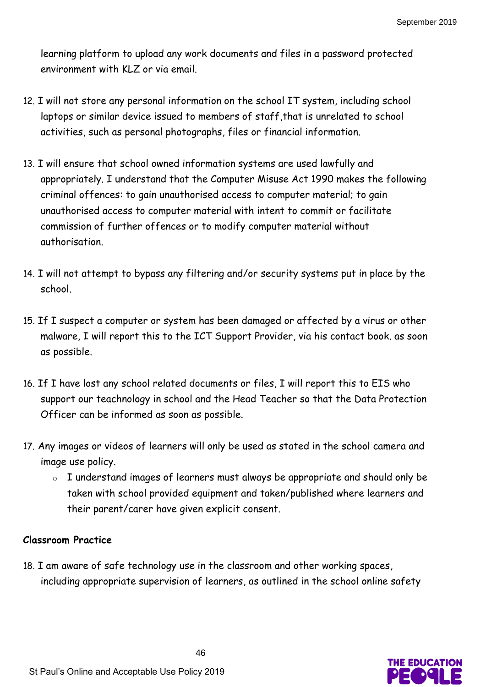learning platform to upload any work documents and files in a password protected environment with KLZ or via email.

- 12. I will not store any personal information on the school IT system, including school laptops or similar device issued to members of staff, that is unrelated to school activities, such as personal photographs, files or financial information.
- 13. I will ensure that school owned information systems are used lawfully and appropriately. I understand that the Computer Misuse Act 1990 makes the following criminal offences: to gain unauthorised access to computer material; to gain unauthorised access to computer material with intent to commit or facilitate commission of further offences or to modify computer material without authorisation.
- 14. I will not attempt to bypass any filtering and/or security systems put in place by the school.
- 15. If I suspect a computer or system has been damaged or affected by a virus or other malware, I will report this to the ICT Support Provider, via his contact book. as soon as possible.
- 16. If I have lost any school related documents or files, I will report this to EIS who support our teachnology in school and the Head Teacher so that the Data Protection Officer can be informed as soon as possible.
- 17. Any images or videos of learners will only be used as stated in the school camera and image use policy.
	- o I understand images of learners must always be appropriate and should only be taken with school provided equipment and taken/published where learners and their parent/carer have given explicit consent.

# **Classroom Practice**

18. I am aware of safe technology use in the classroom and other working spaces, including appropriate supervision of learners, as outlined in the school online safety

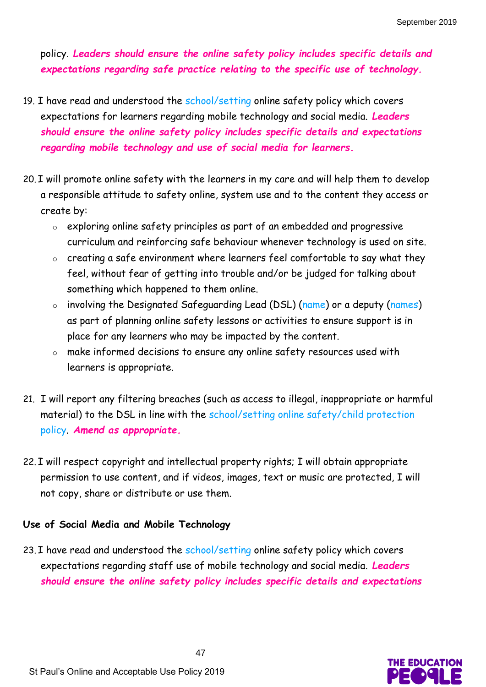policy. *Leaders should ensure the online safety policy includes specific details and expectations regarding safe practice relating to the specific use of technology.*

- 19. I have read and understood the school/setting online safety policy which covers expectations for learners regarding mobile technology and social media. *Leaders should ensure the online safety policy includes specific details and expectations regarding mobile technology and use of social media for learners.*
- 20. I will promote online safety with the learners in my care and will help them to develop a responsible attitude to safety online, system use and to the content they access or create by:
	- o exploring online safety principles as part of an embedded and progressive curriculum and reinforcing safe behaviour whenever technology is used on site.
	- o creating a safe environment where learners feel comfortable to say what they feel, without fear of getting into trouble and/or be judged for talking about something which happened to them online.
	- o involving the Designated Safeguarding Lead (DSL) (name) or a deputy (names) as part of planning online safety lessons or activities to ensure support is in place for any learners who may be impacted by the content.
	- o make informed decisions to ensure any online safety resources used with learners is appropriate.
- 21. I will report any filtering breaches (such as access to illegal, inappropriate or harmful material) to the DSL in line with the school/setting online safety/child protection policy. *Amend as appropriate.*
- 22. I will respect copyright and intellectual property rights; I will obtain appropriate permission to use content, and if videos, images, text or music are protected, I will not copy, share or distribute or use them.

#### **Use of Social Media and Mobile Technology**

23. I have read and understood the school/setting online safety policy which covers expectations regarding staff use of mobile technology and social media. *Leaders should ensure the online safety policy includes specific details and expectations* 

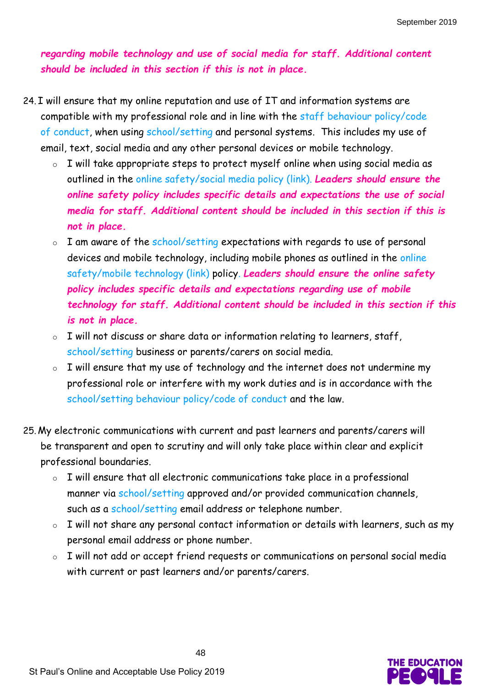*regarding mobile technology and use of social media for staff. Additional content should be included in this section if this is not in place.*

- 24. I will ensure that my online reputation and use of IT and information systems are compatible with my professional role and in line with the staff behaviour policy/code of conduct, when using school/setting and personal systems. This includes my use of email, text, social media and any other personal devices or mobile technology.
	- o I will take appropriate steps to protect myself online when using social media as outlined in the online safety/social media policy (link). *Leaders should ensure the online safety policy includes specific details and expectations the use of social media for staff. Additional content should be included in this section if this is not in place.*
	- o I am aware of the school/setting expectations with regards to use of personal devices and mobile technology, including mobile phones as outlined in the online safety/mobile technology (link) policy. *Leaders should ensure the online safety policy includes specific details and expectations regarding use of mobile technology for staff. Additional content should be included in this section if this is not in place.*
	- o I will not discuss or share data or information relating to learners, staff, school/setting business or parents/carers on social media.
	- o I will ensure that my use of technology and the internet does not undermine my professional role or interfere with my work duties and is in accordance with the school/setting behaviour policy/code of conduct and the law.
- 25. My electronic communications with current and past learners and parents/carers will be transparent and open to scrutiny and will only take place within clear and explicit professional boundaries.
	- o I will ensure that all electronic communications take place in a professional manner via school/setting approved and/or provided communication channels, such as a school/setting email address or telephone number.
	- o I will not share any personal contact information or details with learners, such as my personal email address or phone number.
	- o I will not add or accept friend requests or communications on personal social media with current or past learners and/or parents/carers.

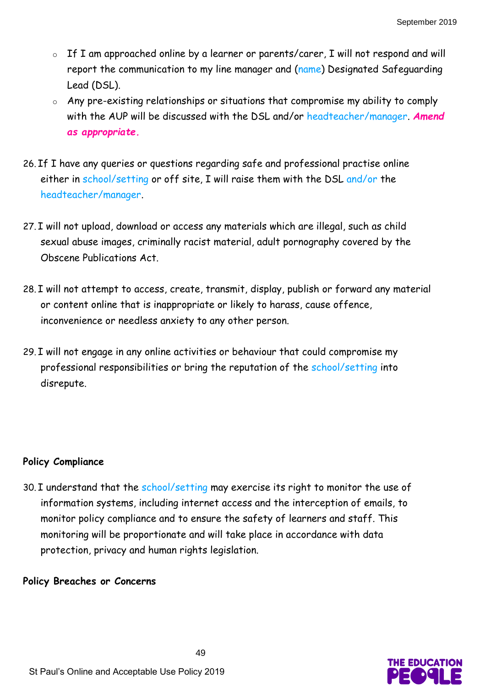- o If I am approached online by a learner or parents/carer, I will not respond and will report the communication to my line manager and (name) Designated Safeguarding Lead (DSL).
- o Any pre-existing relationships or situations that compromise my ability to comply with the AUP will be discussed with the DSL and/or headteacher/manager. *Amend as appropriate.*
- 26. If I have any queries or questions regarding safe and professional practise online either in school/setting or off site, I will raise them with the DSL and/or the headteacher/manager.
- 27. I will not upload, download or access any materials which are illegal, such as child sexual abuse images, criminally racist material, adult pornography covered by the Obscene Publications Act.
- 28. I will not attempt to access, create, transmit, display, publish or forward any material or content online that is inappropriate or likely to harass, cause offence, inconvenience or needless anxiety to any other person.
- 29. I will not engage in any online activities or behaviour that could compromise my professional responsibilities or bring the reputation of the school/setting into disrepute.

#### **Policy Compliance**

30. I understand that the school/setting may exercise its right to monitor the use of information systems, including internet access and the interception of emails, to monitor policy compliance and to ensure the safety of learners and staff. This monitoring will be proportionate and will take place in accordance with data protection, privacy and human rights legislation.

#### **Policy Breaches or Concerns**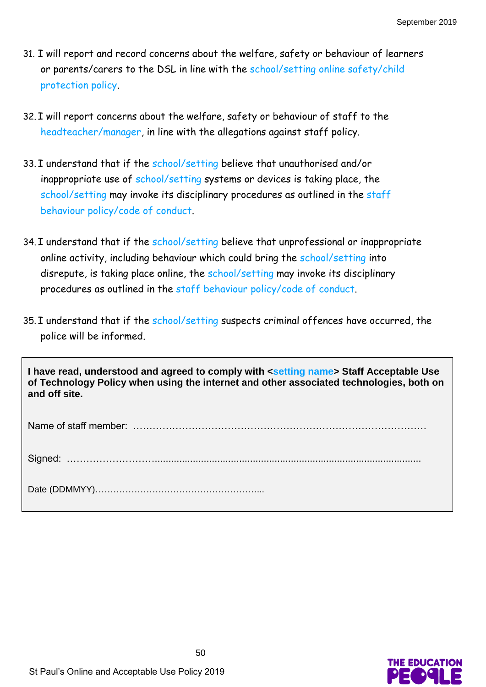- 31. I will report and record concerns about the welfare, safety or behaviour of learners or parents/carers to the DSL in line with the school/setting online safety/child protection policy.
- 32. I will report concerns about the welfare, safety or behaviour of staff to the headteacher/manager, in line with the allegations against staff policy.
- 33. I understand that if the school/setting believe that unauthorised and/or inappropriate use of school/setting systems or devices is taking place, the school/setting may invoke its disciplinary procedures as outlined in the staff behaviour policy/code of conduct.
- 34. I understand that if the school/setting believe that unprofessional or inappropriate online activity, including behaviour which could bring the school/setting into disrepute, is taking place online, the school/setting may invoke its disciplinary procedures as outlined in the staff behaviour policy/code of conduct.
- 35. I understand that if the school/setting suspects criminal offences have occurred, the police will be informed.

**I have read, understood and agreed to comply with <setting name> Staff Acceptable Use of Technology Policy when using the internet and other associated technologies, both on and off site.**

Name of staff member: ………………………………………………………………………………

Signed: ………………………..................................................................................................

Date (DDMMYY)………………………………………………...

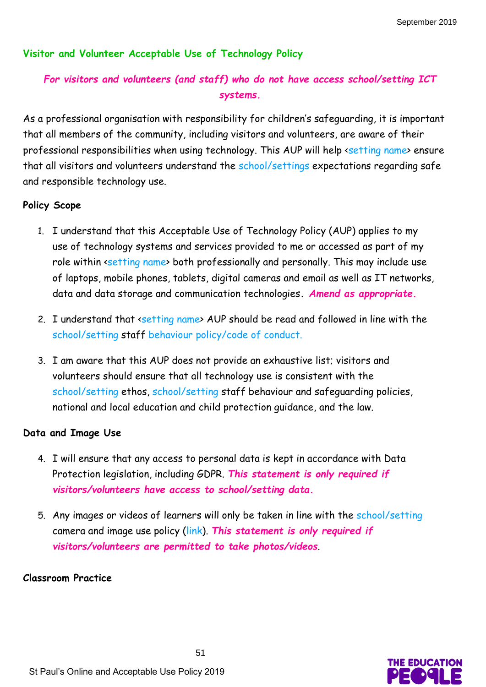#### **Visitor and Volunteer Acceptable Use of Technology Policy**

# *For visitors and volunteers (and staff) who do not have access school/setting ICT systems.*

As a professional organisation with responsibility for children's safeguarding, it is important that all members of the community, including visitors and volunteers, are aware of their professional responsibilities when using technology. This AUP will help <setting name> ensure that all visitors and volunteers understand the school/settings expectations regarding safe and responsible technology use.

#### **Policy Scope**

- 1. I understand that this Acceptable Use of Technology Policy (AUP) applies to my use of technology systems and services provided to me or accessed as part of my role within <setting name> both professionally and personally. This may include use of laptops, mobile phones, tablets, digital cameras and email as well as IT networks, data and data storage and communication technologies**.** *Amend as appropriate.*
- 2. I understand that setting name AUP should be read and followed in line with the school/setting staff behaviour policy/code of conduct.
- 3. I am aware that this AUP does not provide an exhaustive list; visitors and volunteers should ensure that all technology use is consistent with the school/setting ethos, school/setting staff behaviour and safeguarding policies, national and local education and child protection guidance, and the law.

#### **Data and Image Use**

- 4. I will ensure that any access to personal data is kept in accordance with Data Protection legislation, including GDPR. *This statement is only required if visitors/volunteers have access to school/setting data.*
- 5. Any images or videos of learners will only be taken in line with the school/setting camera and image use policy (link). *This statement is only required if visitors/volunteers are permitted to take photos/videos*.

#### **Classroom Practice**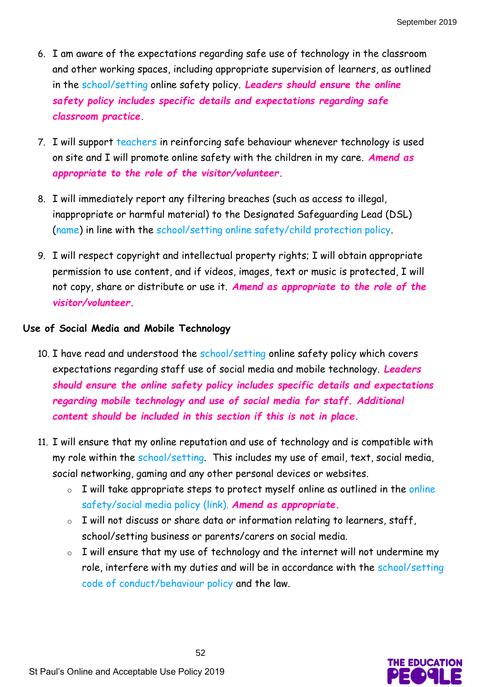- 6. I am aware of the expectations regarding safe use of technology in the classroom and other working spaces, including appropriate supervision of learners, as outlined in the school/setting online safety policy. *Leaders should ensure the online safety policy includes specific details and expectations regarding safe classroom practice.*
- 7. I will support teachers in reinforcing safe behaviour whenever technology is used on site and I will promote online safety with the children in my care. *Amend as appropriate to the role of the visitor/volunteer.*
- 8. I will immediately report any filtering breaches (such as access to illegal, inappropriate or harmful material) to the Designated Safeguarding Lead (DSL) (name) in line with the school/setting online safety/child protection policy.
- 9. I will respect copyright and intellectual property rights; I will obtain appropriate permission to use content, and if videos, images, text or music is protected, I will not copy, share or distribute or use it. *Amend as appropriate to the role of the visitor/volunteer.*

## **Use of Social Media and Mobile Technology**

- 10. I have read and understood the school/setting online safety policy which covers expectations regarding staff use of social media and mobile technology. *Leaders should ensure the online safety policy includes specific details and expectations regarding mobile technology and use of social media for staff. Additional content should be included in this section if this is not in place.*
- 11. I will ensure that my online reputation and use of technology and is compatible with my role within the school/setting. This includes my use of email, text, social media, social networking, gaming and any other personal devices or websites.
	- o I will take appropriate steps to protect myself online as outlined in the online safety/social media policy (link). *Amend as appropriate.*
	- o I will not discuss or share data or information relating to learners, staff, school/setting business or parents/carers on social media.
	- $\circ$  I will ensure that my use of technology and the internet will not undermine my role, interfere with my duties and will be in accordance with the school/setting code of conduct/behaviour policy and the law.

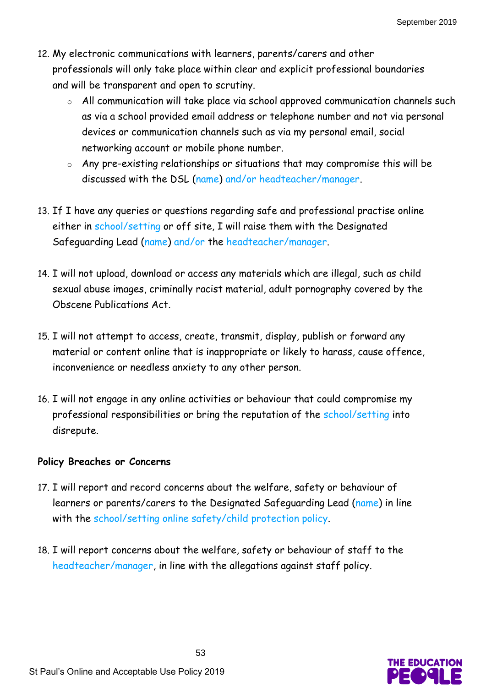- 12. My electronic communications with learners, parents/carers and other professionals will only take place within clear and explicit professional boundaries and will be transparent and open to scrutiny.
	- o All communication will take place via school approved communication channels such as via a school provided email address or telephone number and not via personal devices or communication channels such as via my personal email, social networking account or mobile phone number.
	- o Any pre-existing relationships or situations that may compromise this will be discussed with the DSL (name) and/or headteacher/manager.
- 13. If I have any queries or questions regarding safe and professional practise online either in school/setting or off site, I will raise them with the Designated Safeguarding Lead (name) and/or the headteacher/manager.
- 14. I will not upload, download or access any materials which are illegal, such as child sexual abuse images, criminally racist material, adult pornography covered by the Obscene Publications Act.
- 15. I will not attempt to access, create, transmit, display, publish or forward any material or content online that is inappropriate or likely to harass, cause offence, inconvenience or needless anxiety to any other person.
- 16. I will not engage in any online activities or behaviour that could compromise my professional responsibilities or bring the reputation of the school/setting into disrepute.

#### **Policy Breaches or Concerns**

- 17. I will report and record concerns about the welfare, safety or behaviour of learners or parents/carers to the Designated Safeguarding Lead (name) in line with the school/setting online safety/child protection policy.
- 18. I will report concerns about the welfare, safety or behaviour of staff to the headteacher/manager, in line with the allegations against staff policy.

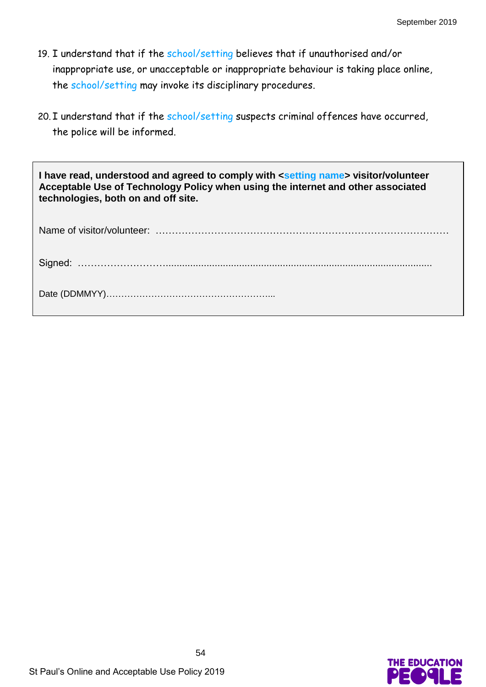- 19. I understand that if the school/setting believes that if unauthorised and/or inappropriate use, or unacceptable or inappropriate behaviour is taking place online, the school/setting may invoke its disciplinary procedures.
- 20. I understand that if the school/setting suspects criminal offences have occurred, the police will be informed.

**I have read, understood and agreed to comply with <setting name> visitor/volunteer Acceptable Use of Technology Policy when using the internet and other associated technologies, both on and off site.** Name of visitor/volunteer: ……………………………………………………………………………… Signed: ……………………….................................................................................................. Date (DDMMYY)………………………………………………...

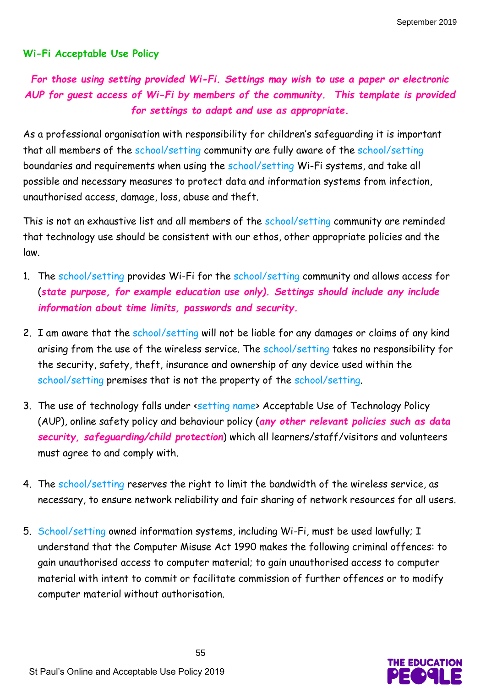#### **Wi-Fi Acceptable Use Policy**

# *For those using setting provided Wi-Fi. Settings may wish to use a paper or electronic AUP for guest access of Wi-Fi by members of the community. This template is provided for settings to adapt and use as appropriate.*

As a professional organisation with responsibility for children's safeguarding it is important that all members of the school/setting community are fully aware of the school/setting boundaries and requirements when using the school/setting Wi-Fi systems, and take all possible and necessary measures to protect data and information systems from infection, unauthorised access, damage, loss, abuse and theft.

This is not an exhaustive list and all members of the school/setting community are reminded that technology use should be consistent with our ethos, other appropriate policies and the law.

- 1. The school/setting provides Wi-Fi for the school/setting community and allows access for (*state purpose, for example education use only). Settings should include any include information about time limits, passwords and security.*
- 2. I am aware that the school/setting will not be liable for any damages or claims of any kind arising from the use of the wireless service. The school/setting takes no responsibility for the security, safety, theft, insurance and ownership of any device used within the school/setting premises that is not the property of the school/setting.
- 3. The use of technology falls under <setting name> Acceptable Use of Technology Policy (AUP), online safety policy and behaviour policy (*any other relevant policies such as data security, safeguarding/child protection*) which all learners/staff/visitors and volunteers must agree to and comply with.
- 4. The school/setting reserves the right to limit the bandwidth of the wireless service, as necessary, to ensure network reliability and fair sharing of network resources for all users.
- 5. School/setting owned information systems, including Wi-Fi, must be used lawfully; I understand that the Computer Misuse Act 1990 makes the following criminal offences: to gain unauthorised access to computer material; to gain unauthorised access to computer material with intent to commit or facilitate commission of further offences or to modify computer material without authorisation.

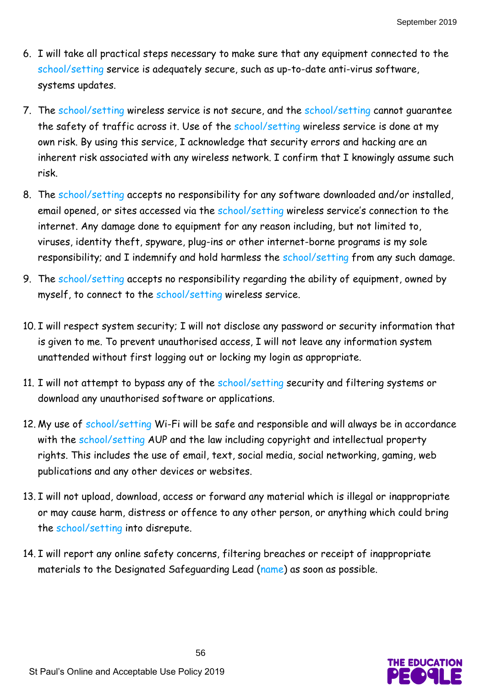- 6. I will take all practical steps necessary to make sure that any equipment connected to the school/setting service is adequately secure, such as up-to-date anti-virus software, systems updates.
- 7. The school/setting wireless service is not secure, and the school/setting cannot quarantee the safety of traffic across it. Use of the school/setting wireless service is done at my own risk. By using this service, I acknowledge that security errors and hacking are an inherent risk associated with any wireless network. I confirm that I knowingly assume such risk.
- 8. The school/setting accepts no responsibility for any software downloaded and/or installed, email opened, or sites accessed via the school/setting wireless service's connection to the internet. Any damage done to equipment for any reason including, but not limited to, viruses, identity theft, spyware, plug-ins or other internet-borne programs is my sole responsibility; and I indemnify and hold harmless the school/setting from any such damage.
- 9. The school/setting accepts no responsibility regarding the ability of equipment, owned by myself, to connect to the school/setting wireless service.
- 10. I will respect system security; I will not disclose any password or security information that is given to me. To prevent unauthorised access, I will not leave any information system unattended without first logging out or locking my login as appropriate.
- 11. I will not attempt to bypass any of the school/setting security and filtering systems or download any unauthorised software or applications.
- 12. My use of school/setting Wi-Fi will be safe and responsible and will always be in accordance with the school/setting AUP and the law including copyright and intellectual property rights. This includes the use of email, text, social media, social networking, gaming, web publications and any other devices or websites.
- 13. I will not upload, download, access or forward any material which is illegal or inappropriate or may cause harm, distress or offence to any other person, or anything which could bring the school/setting into disrepute.
- 14. I will report any online safety concerns, filtering breaches or receipt of inappropriate materials to the Designated Safeguarding Lead (name) as soon as possible.